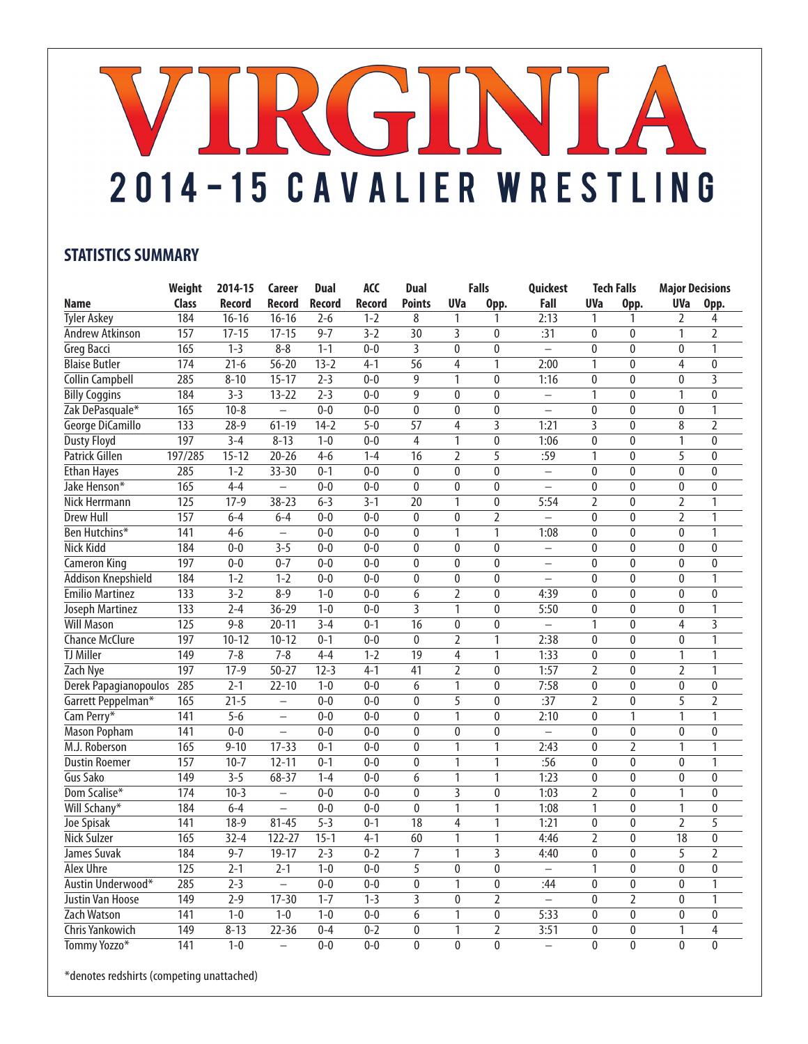## VIRGINIA 2014-15 CAVALIER WRESTLING

## **STATISTICS SUMMARY**

|                           | Weight           | 2014-15       | Career                   | <b>Dual</b>      | <b>ACC</b>    | <b>Dual</b>               |                           | <b>Falls</b>   | Quickest                 |                | <b>Tech Falls</b> | <b>Major Decisions</b> |                           |
|---------------------------|------------------|---------------|--------------------------|------------------|---------------|---------------------------|---------------------------|----------------|--------------------------|----------------|-------------------|------------------------|---------------------------|
| Name                      | Class            | <b>Record</b> | Record                   | <b>Record</b>    | <b>Record</b> | <b>Points</b>             | <b>UVa</b>                | Opp.           | Fall                     | <b>UVa</b>     | Opp.              | <b>UVa</b>             | Opp.                      |
| <b>Tyler Askey</b>        | 184              | $16 - 16$     | $16 - 16$                | $2 - 6$          | $1 - 2$       | 8                         | 1                         | 1              | 2:13                     | 1              | 1                 | $\overline{2}$         | 4                         |
| Andrew Atkinson           | 157              | $17 - 15$     | $17 - 15$                | $9 - 7$          | $3 - 2$       | $\overline{30}$           | 3                         | $\mathbf{0}$   | :31                      | $\bf{0}$       | $\pmb{0}$         | 1                      | $\overline{2}$            |
| <b>Greg Bacci</b>         | 165              | $1 - 3$       | $8 - 8$                  | $1 - 1$          | $0 - 0$       | 3                         | $\mathbf{0}$              | $\mathbf{0}$   | $\equiv$                 | $\mathbf{0}$   | $\mathbf{0}$      | $\mathbf{0}$           | 1                         |
| <b>Blaise Butler</b>      | 174              | $21-6$        | $56 - 20$                | $13 - 2$         | $4 - 1$       | 56                        | 4                         | 1              | 2:00                     | $\overline{1}$ | $\mathbf{0}$      | 4                      | $\mathbf{0}$              |
| <b>Collin Campbell</b>    | 285              | $8 - 10$      | $15 - 17$                | $2 - 3$          | $0 - 0$       | $\overline{9}$            | 1                         | $\pmb{0}$      | 1:16                     | $\pmb{0}$      | $\overline{0}$    | $\bf{0}$               | $\overline{\overline{3}}$ |
| <b>Billy Coggins</b>      | 184              | $3 - 3$       | $13 - 22$                | $\overline{2-3}$ | $0 - 0$       | $\overline{9}$            | $\Omega$                  | $\theta$       | $\equiv$                 | 1              | $\overline{0}$    | $\mathbf{1}$           | $\mathbf{0}$              |
| Zak DePasquale*           | 165              | $10 - 8$      | $\equiv$                 | $0 - 0$          | $0 - 0$       | $\pmb{0}$                 | $\overline{0}$            | $\mathbf{0}$   | $\equiv$                 | $\overline{0}$ | $\overline{0}$    | $\mathbf{0}$           | $\mathbf{1}$              |
| George DiCamillo          | 133              | $28 - 9$      | $61 - 19$                | $14 - 2$         | $5 - 0$       | 57                        | 4                         | 3              | 1:21                     | 3              | $\pmb{0}$         | 8                      | $\overline{2}$            |
| <b>Dusty Floyd</b>        | 197              | $3 - 4$       | $8 - 13$                 | $1 - 0$          | $0 - 0$       | 4                         | 1                         | $\pmb{0}$      | 1:06                     | $\mathbf{0}$   | $\mathbf{0}$      | 1                      | $\theta$                  |
| Patrick Gillen            | 197/285          | $15 - 12$     | $20 - 26$                | $4 - 6$          | $1-4$         | $\overline{16}$           | $\overline{2}$            | 5              | :59                      | 1              | $\mathbf 0$       | 5                      | $\mathbf{0}$              |
| <b>Ethan Hayes</b>        | 285              | $1 - 2$       | $33 - 30$                | $0 - 1$          | $0 - 0$       | 0                         | $\mathbf{0}$              | $\pmb{0}$      | $\qquad \qquad -$        | 0              | $\pmb{0}$         | $\mathbf{0}$           | $\mathbf{0}$              |
| Jake Henson*              | 165              | $4 - 4$       | $\overline{\phantom{0}}$ | $0 - 0$          | $0 - 0$       | $\pmb{0}$                 | $\overline{0}$            | $\overline{0}$ | $\overline{\phantom{0}}$ | $\pmb{0}$      | $\pmb{0}$         | $\overline{0}$         | $\pmb{0}$                 |
| <b>Nick Herrmann</b>      | $\overline{125}$ | $17-9$        | $38 - 23$                | $6 - 3$          | $3 - 1$       | $\overline{20}$           | 1                         | $\mathbf{0}$   | 5:54                     | 2              | $\pmb{0}$         | 2                      | 1                         |
| <b>Drew Hull</b>          | 157              | $6 - 4$       | $6 - 4$                  | $0 - 0$          | $0 - 0$       | $\mathbf{0}$              | $\mathbf{0}$              | $\overline{2}$ | $\equiv$                 | $\mathbf{0}$   | $\pmb{0}$         | $\overline{2}$         | 1                         |
| Ben Hutchins*             | 141              | $4-6$         | $\overline{\phantom{0}}$ | $0 - 0$          | $0 - 0$       | $\overline{0}$            | $\mathbf{1}$              | 1              | 1:08                     | $\overline{0}$ | $\overline{0}$    | $\overline{0}$         | 1                         |
| <b>Nick Kidd</b>          | 184              | $0 - 0$       | $3 - 5$                  | $0 - 0$          | $0 - 0$       | $\overline{0}$            | 0                         | $\mathbf{0}$   | $\equiv$                 | $\mathbf{0}$   | $\overline{0}$    | $\overline{0}$         | $\mathbf{0}$              |
| <b>Cameron King</b>       | 197              | $0 - 0$       | $0 - 7$                  | $0 - 0$          | $0 - 0$       | 0                         | 0                         | $\pmb{0}$      | $\overline{\phantom{m}}$ | 0              | $\pmb{0}$         | $\mathbf{0}$           | $\pmb{0}$                 |
| <b>Addison Knepshield</b> | 184              | $1 - 2$       | $1 - 2$                  | $0 - 0$          | $0 - 0$       | $\pmb{0}$                 | $\mathbf{0}$              | $\mathbf{0}$   | $\equiv$                 | $\mathbf{0}$   | $\pmb{0}$         | $\mathbf{0}$           | $\mathbf{1}$              |
| <b>Emilio Martinez</b>    | $\overline{133}$ | $3 - 2$       | $8 - 9$                  | $1 - 0$          | $0 - 0$       | $\overline{6}$            | $\overline{2}$            | $\mathbf{0}$   | 4:39                     | $\mathbf{0}$   | $\mathbf{0}$      | $\theta$               | $\Omega$                  |
| Joseph Martinez           | $\overline{133}$ | $2 - 4$       | $36 - 29$                | $1 - 0$          | $0 - 0$       | $\overline{\overline{3}}$ | 1                         | $\mathbf{0}$   | 5:50                     | 0              | $\pmb{0}$         | $\mathbf{0}$           | 1                         |
| <b>Will Mason</b>         | $\overline{125}$ | $9 - 8$       | $20 - 11$                | $3 - 4$          | $0 - 1$       | $\overline{16}$           | $\overline{0}$            | $\mathbf{0}$   |                          | 1              | $\overline{0}$    | $\overline{4}$         | $\overline{\overline{3}}$ |
| <b>Chance McClure</b>     | 197              | $10 - 12$     | $10 - 12$                | $0 - 1$          | $0 - 0$       | $\overline{0}$            | $\overline{2}$            | $\overline{1}$ | 2:38                     | $\mathbf{0}$   | $\pmb{0}$         | $\mathbf{0}$           | $\mathbf{1}$              |
| <b>TJ Miller</b>          | 149              | $7 - 8$       | $7 - 8$                  | $4 - 4$          | $1 - 2$       | $\overline{19}$           | $\overline{4}$            | 1              | 1:33                     | 0              | $\pmb{0}$         | 1                      | $\mathbf{1}$              |
| Zach Nye                  | 197              | $17-9$        | $50 - 27$                | $12 - 3$         | $4 - 1$       | 41                        | $\overline{2}$            | $\mathbf{0}$   | 1:57                     | $\overline{2}$ | $\mathbf{0}$      | $\overline{2}$         | 1                         |
| Derek Papagianopoulos     | 285              | $2 - 1$       | $22 - 10$                | $1 - 0$          | $0 - 0$       | 6                         | 1                         | $\bf{0}$       | 7:58                     | 0              | $\pmb{0}$         | $\mathbf 0$            | $\bf{0}$                  |
| Garrett Peppelman*        | 165              | $21 - 5$      | $\equiv$                 | $0 - 0$          | $0 - 0$       | 0                         | $\overline{5}$            | $\mathbf{0}$   | :37                      | $\overline{2}$ | $\pmb{0}$         | $\overline{5}$         | $\overline{2}$            |
| Cam Perry*                | 141              | $5 - 6$       | $\overline{\phantom{0}}$ | $0 - 0$          | $0 - 0$       | 0                         | 1                         | $\mathbf{0}$   | 2:10                     | 0              | 1                 | 1                      | $\mathbf{1}$              |
| <b>Mason Popham</b>       | $\overline{141}$ | $0 - 0$       | $\overline{\phantom{0}}$ | $0 - 0$          | $0 - 0$       | $\overline{0}$            | 0                         | $\bf{0}$       | $\equiv$                 | 0              | $\pmb{0}$         | 0                      | $\bf{0}$                  |
| M.J. Roberson             | 165              | $9 - 10$      | $17 - 33$                | $0 - 1$          | $0 - 0$       | $\mathbf{0}$              | $\mathbf{1}$              | $\mathbf{1}$   | 2:43                     | $\mathbf{0}$   | $\overline{2}$    | $\mathbf{1}$           | $\mathbf{1}$              |
| <b>Dustin Roemer</b>      | 157              | $10-7$        | $12 - 11$                | $0 - 1$          | $0 - 0$       | 0                         | 1                         | 1              | :56                      | 0              | $\pmb{0}$         | $\mathbf{0}$           | $\mathbf{1}$              |
| Gus Sako                  | 149              | $3 - 5$       | $68 - 37$                | $1 - 4$          | $0 - 0$       | 6                         | 1                         | $\mathbf{1}$   | 1:23                     | 0              | $\pmb{0}$         | $\mathbf{0}$           | $\bf{0}$                  |
| Dom Scalise*              | 174              | $10-3$        | $\overline{\phantom{0}}$ | $0 - 0$          | $0 - 0$       | $\mathbf{0}$              | $\overline{\overline{3}}$ | $\mathbf{0}$   | 1:03                     | $\overline{2}$ | $\mathbf 0$       | $\overline{1}$         | $\mathbf{0}$              |
| Will Schany*              | 184              | $6 - 4$       | $\overline{a}$           | $0 - 0$          | $0 - 0$       | $\overline{0}$            | $\overline{1}$            | 1              | 1:08                     | $\overline{1}$ | $\overline{0}$    | 1                      | $\pmb{0}$                 |
| Joe Spisak                | $\overline{141}$ | $18-9$        | $81 - 45$                | $5 - 3$          | $0 - 1$       | $\overline{18}$           | $\overline{4}$            | $\mathbf{1}$   | 1:21                     | 0              | $\pmb{0}$         | $\overline{2}$         | $\overline{5}$            |
| <b>Nick Sulzer</b>        | 165              | $32 - 4$      | $122 - 27$               | $15 - 1$         | $4 - 1$       | $\overline{60}$           | 1                         | $\mathbf{1}$   | 4:46                     | $\overline{2}$ | $\mathbf{0}$      | $\overline{18}$        | $\mathbf{0}$              |
| James Suvak               | 184              | $9 - 7$       | $19 - 17$                | $2 - 3$          | $0 - 2$       | $\overline{7}$            | $\mathbf{1}$              | 3              | 4:40                     | 0              | $\mathbf{0}$      | 5                      | $\overline{2}$            |
| <b>Alex Uhre</b>          | $\overline{125}$ | $2 - 1$       | $2 - 1$                  | $1 - 0$          | $0 - 0$       | $\overline{5}$            | $\mathbf{0}$              | $\mathbf{0}$   | $\overline{\phantom{0}}$ | 1              | 0                 | $\mathbf{0}$           | $\mathbf{0}$              |
| Austin Underwood*         | 285              | $2 - 3$       | $\equiv$                 | $0 - 0$          | $0-0$         | $\overline{0}$            | 1                         | $\overline{0}$ | :44                      | 0              | $\overline{0}$    | $\overline{0}$         | 1                         |
| Justin Van Hoose          | $\overline{149}$ | $2 - 9$       | $17 - 30$                | $1 - 7$          | $1 - 3$       | $\overline{\overline{3}}$ | $\mathbf{0}$              | $\overline{2}$ | $\overline{a}$           | $\overline{0}$ | $\overline{2}$    | $\overline{0}$         | 1                         |
| Zach Watson               | 141              | $1 - 0$       | $1 - 0$                  | $1-0$            | $0-0$         | 6                         | $\mathbf{1}$              | $\mathbf{0}$   | 5:33                     | $\mathbf{0}$   | $\pmb{0}$         | $\mathbf{0}$           | $\theta$                  |
| Chris Yankowich           | 149              | $8 - 13$      | $22 - 36$                | $0 - 4$          | $0 - 2$       | $\pmb{0}$                 | 1                         | $\overline{2}$ | 3:51                     | 0              | $\pmb{0}$         | 1                      | $\overline{4}$            |
| Tommy Yozzo*              | 141              | $1 - 0$       | $\overline{\phantom{0}}$ | $0 - 0$          | $0 - 0$       | $\mathbf{0}$              | $\mathbf{0}$              | $\mathbf{0}$   | $\equiv$                 | $\mathbf{0}$   | $\mathbf{0}$      | $\mathbf{0}$           | $\mathbf{0}$              |

\*denotes redshirts (competing unattached)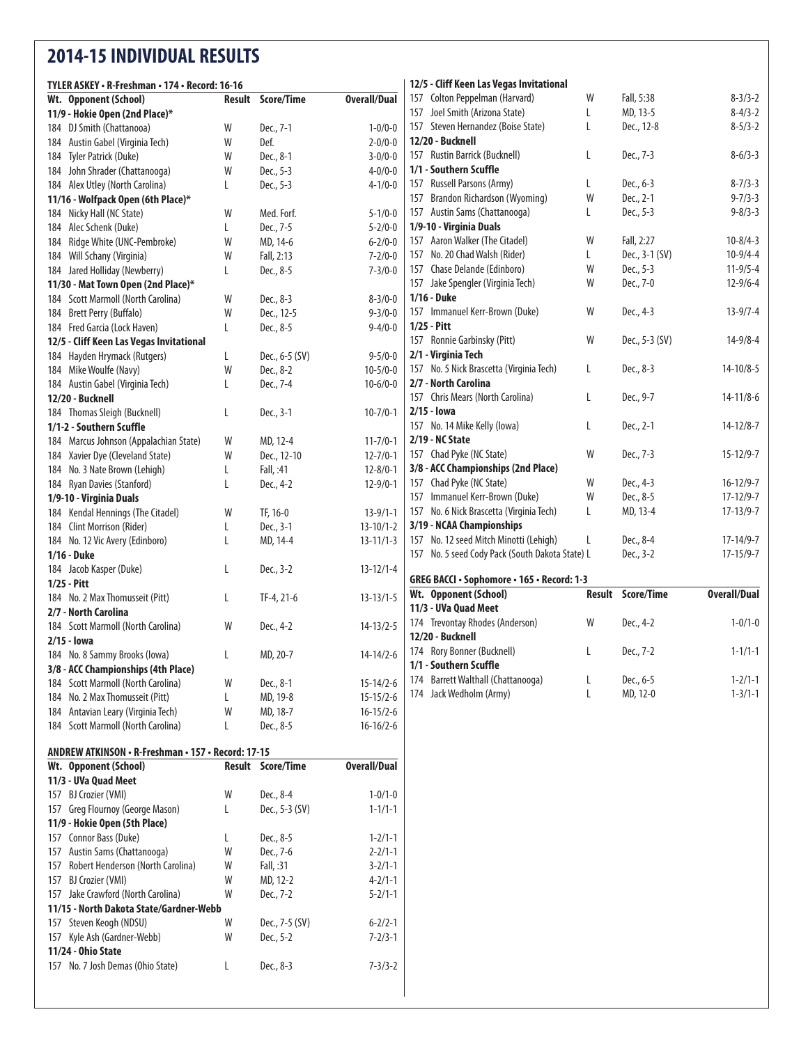## **2014-15 INDIVIDUAL RESULTS**

 BJ Crozier (VMI) W MD, 12-2 4-2/1-1 157 Jake Crawford (North Carolina) W Dec., 7-2 5-2/1-1

Steven Keogh (NDSU) W Dec., 7-5 (SV) 6-2/2-1

No. 7 Josh Demas (Ohio State) L Dec., 8-3 7-3/3-2

**11/15 - North Dakota State/Gardner-Webb**

157 Kyle Ash (Gardner-Webb) **11/24 - Ohio State**

| TYLER ASKEY • R-Freshman • 174 • Record: 16-16       |        |                   |                     | 12/5 - Cliff Keen Las Vegas Invitational          |   |                          |                     |
|------------------------------------------------------|--------|-------------------|---------------------|---------------------------------------------------|---|--------------------------|---------------------|
| Wt. Opponent (School)                                | Result | <b>Score/Time</b> | <b>Overall/Dual</b> | 157 Colton Peppelman (Harvard)                    | W | Fall, 5:38               | $8 - 3/3 - 2$       |
| 11/9 - Hokie Open (2nd Place)*                       |        |                   |                     | 157 Joel Smith (Arizona State)                    | L | MD, 13-5                 | $8-4/3-2$           |
| 184 DJ Smith (Chattanooa)                            | W      | Dec., 7-1         | $1 - 0/0 - 0$       | 157 Steven Hernandez (Boise State)                | L | Dec., 12-8               | $8 - 5/3 - 2$       |
| Austin Gabel (Virginia Tech)<br>184                  | W      | Def.              | $2 - 0/0 - 0$       | 12/20 - Bucknell                                  |   |                          |                     |
| Tyler Patrick (Duke)<br>184                          | W      | Dec., 8-1         | $3 - 0/0 - 0$       | 157 Rustin Barrick (Bucknell)                     | L | Dec., 7-3                | $8-6/3-3$           |
| 184 John Shrader (Chattanooga)                       | W      | Dec., 5-3         | $4 - 0/0 - 0$       | 1/1 - Southern Scuffle                            |   |                          |                     |
| 184 Alex Utley (North Carolina)                      | L      | Dec., 5-3         | $4 - 1/0 - 0$       | 157 Russell Parsons (Army)                        | L | Dec., 6-3                | $8 - 7/3 - 3$       |
| 11/16 - Wolfpack Open (6th Place)*                   |        |                   |                     | 157 Brandon Richardson (Wyoming)                  | W | Dec., 2-1                | $9 - 7/3 - 3$       |
| 184 Nicky Hall (NC State)                            | W      | Med. Forf.        | $5 - 1/0 - 0$       | 157 Austin Sams (Chattanooga)                     | L | Dec., 5-3                | $9 - 8/3 - 3$       |
| 184 Alec Schenk (Duke)                               | L      | Dec., 7-5         | $5 - 2/0 - 0$       | 1/9-10 - Virginia Duals                           |   |                          |                     |
| 184 Ridge White (UNC-Pembroke)                       | W      | MD, 14-6          | $6 - 2/0 - 0$       | 157 Aaron Walker (The Citadel)                    | W | Fall, 2:27               | $10 - 8/4 - 3$      |
| Will Schany (Virginia)<br>184                        | W      | Fall, 2:13        | $7 - 2/0 - 0$       | 157 No. 20 Chad Walsh (Rider)                     | L | Dec., 3-1 (SV)           | $10-9/4-4$          |
| 184 Jared Holliday (Newberry)                        | L      | Dec., 8-5         | $7 - 3/0 - 0$       | 157 Chase Delande (Edinboro)                      | W | Dec., 5-3                | $11-9/5-4$          |
| 11/30 - Mat Town Open (2nd Place)*                   |        |                   |                     | 157 Jake Spengler (Virginia Tech)                 | W | Dec., 7-0                | $12 - 9/6 - 4$      |
| 184 Scott Marmoll (North Carolina)                   | W      | Dec., 8-3         | $8 - 3/0 - 0$       | 1/16 - Duke                                       |   |                          |                     |
| 184 Brett Perry (Buffalo)                            | W      | Dec., 12-5        | $9 - 3/0 - 0$       | 157 Immanuel Kerr-Brown (Duke)                    | W | Dec., 4-3                | $13 - 9/7 - 4$      |
| 184 Fred Garcia (Lock Haven)                         | L      | Dec., 8-5         | $9 - 4/0 - 0$       | $1/25 - Pitt$                                     |   |                          |                     |
| 12/5 - Cliff Keen Las Vegas Invitational             |        |                   |                     | 157 Ronnie Garbinsky (Pitt)                       | W | Dec., 5-3 (SV)           | $14 - 9/8 - 4$      |
| 184 Hayden Hrymack (Rutgers)                         | L      | Dec., 6-5 (SV)    | $9 - 5/0 - 0$       | 2/1 - Virginia Tech                               |   |                          |                     |
| 184 Mike Woulfe (Navy)                               | W      | Dec., 8-2         | $10-5/0-0$          | 157 No. 5 Nick Brascetta (Virginia Tech)          | L | Dec., 8-3                | $14 - 10/8 - 5$     |
|                                                      |        |                   |                     | 2/7 - North Carolina                              |   |                          |                     |
| 184 Austin Gabel (Virginia Tech)<br>12/20 - Bucknell | L      | Dec., 7-4         | $10 - 6/0 - 0$      | 157 Chris Mears (North Carolina)                  | L | Dec., 9-7                | $14 - 11/8 - 6$     |
|                                                      |        |                   |                     | $2/15 -$ lowa                                     |   |                          |                     |
| 184 Thomas Sleigh (Bucknell)                         | L      | Dec., 3-1         | $10 - 7/0 - 1$      |                                                   | L | Dec., 2-1                | $14 - 12/8 - 7$     |
| 1/1-2 - Southern Scuffle                             |        |                   |                     | 157 No. 14 Mike Kelly (lowa)<br>2/19 - NC State   |   |                          |                     |
| 184 Marcus Johnson (Appalachian State)               | W      | MD, 12-4          | $11 - 7/0 - 1$      |                                                   |   |                          | $15 - 12/9 - 7$     |
| 184 Xavier Dye (Cleveland State)                     | W      | Dec., 12-10       | $12 - 7/0 - 1$      | 157 Chad Pyke (NC State)                          | W | Dec., 7-3                |                     |
| 184 No. 3 Nate Brown (Lehigh)                        | L      | Fall, :41         | $12 - 8/0 - 1$      | 3/8 - ACC Championships (2nd Place)               |   |                          |                     |
| 184 Ryan Davies (Stanford)                           | L      | Dec., 4-2         | $12-9/0-1$          | 157 Chad Pyke (NC State)                          | W | Dec., 4-3                | $16 - 12/9 - 7$     |
| 1/9-10 - Virginia Duals                              |        |                   |                     | 157 Immanuel Kerr-Brown (Duke)                    | W | Dec., 8-5                | $17 - 12/9 - 7$     |
| 184 Kendal Hennings (The Citadel)                    | W      | TF, 16-0          | $13 - 9/1 - 1$      | 157 No. 6 Nick Brascetta (Virginia Tech)          | L | MD, 13-4                 | $17 - 13/9 - 7$     |
| 184 Clint Morrison (Rider)                           | L      | Dec., 3-1         | $13 - 10/1 - 2$     | 3/19 - NCAA Championships                         |   |                          |                     |
| 184 No. 12 Vic Avery (Edinboro)                      | L      | MD, 14-4          | $13 - 11/1 - 3$     | 157 No. 12 seed Mitch Minotti (Lehigh)            | L | Dec., 8-4                | $17 - 14/9 - 7$     |
| 1/16 - Duke                                          |        |                   |                     | 157 No. 5 seed Cody Pack (South Dakota State) L   |   | Dec., 3-2                | $17 - 15/9 - 7$     |
| 184 Jacob Kasper (Duke)                              | L      | Dec., 3-2         | $13 - 12/1 - 4$     | <b>GREG BACCI · Sophomore · 165 · Record: 1-3</b> |   |                          |                     |
| 1/25 - Pitt                                          |        |                   |                     |                                                   |   | <b>Result Score/Time</b> | <b>Overall/Dual</b> |
| 184 No. 2 Max Thomusseit (Pitt)                      | L      | TF-4, 21-6        | $13 - 13/1 - 5$     | Wt. Opponent (School)                             |   |                          |                     |
| 2/7 - North Carolina                                 |        |                   |                     | 11/3 - UVa Quad Meet                              |   |                          |                     |
| 184 Scott Marmoll (North Carolina)                   | W      | Dec., 4-2         | $14 - 13/2 - 5$     | 174 Trevontay Rhodes (Anderson)                   | W | Dec., 4-2                | $1 - 0/1 - 0$       |
| $2/15 -$ lowa                                        |        |                   |                     | 12/20 - Bucknell                                  |   |                          |                     |
| 184 No. 8 Sammy Brooks (Iowa)                        | L      | MD, 20-7          | $14-14/2-6$         | 174 Rory Bonner (Bucknell)                        | L | Dec., 7-2                | $1 - 1/1 - 1$       |
| 3/8 - ACC Championships (4th Place)                  |        |                   |                     | 1/1 - Southern Scuffle                            |   |                          |                     |
| 184 Scott Marmoll (North Carolina)                   | W      | Dec., 8-1         | $15 - 14/2 - 6$     | 174 Barrett Walthall (Chattanooga)                |   | Dec., 6-5                | $1 - 2/1 - 1$       |
| 184 No. 2 Max Thomusseit (Pitt)                      |        | MD, 19-8          | $15 - 15/2 - 6$     | 174 Jack Wedholm (Army)                           | L | MD, 12-0                 | $1 - 3/1 - 1$       |
| 184 Antavian Leary (Virginia Tech)                   | W      | MD, 18-7          | $16 - 15/2 - 6$     |                                                   |   |                          |                     |
| 184 Scott Marmoll (North Carolina)                   | L      | Dec., 8-5         | $16-16/2-6$         |                                                   |   |                          |                     |
| ANDREW ATKINSON • R-Freshman • 157 • Record: 17-15   |        |                   |                     |                                                   |   |                          |                     |
| Wt. Opponent (School)                                |        | Result Score/Time | <b>Overall/Dual</b> |                                                   |   |                          |                     |
| 11/3 - UVa Quad Meet                                 |        |                   |                     |                                                   |   |                          |                     |
| 157 BJ Crozier (VMI)                                 | W      | Dec., 8-4         | $1 - 0/1 - 0$       |                                                   |   |                          |                     |
| 157 Greg Flournoy (George Mason)                     | L      | Dec., 5-3 (SV)    | $1 - 1/1 - 1$       |                                                   |   |                          |                     |
| 11/9 - Hokie Open (5th Place)                        |        |                   |                     |                                                   |   |                          |                     |
| Connor Bass (Duke)<br>157                            |        | Dec., 8-5         | $1 - 2/1 - 1$       |                                                   |   |                          |                     |
| 157 Austin Sams (Chattanooga)                        | W      | Dec., 7-6         | $2 - 2/1 - 1$       |                                                   |   |                          |                     |
| 157 Robert Henderson (North Carolina)                | W      | Fall, :31         | $3 - 2/1 - 1$       |                                                   |   |                          |                     |
|                                                      |        |                   |                     |                                                   |   |                          |                     |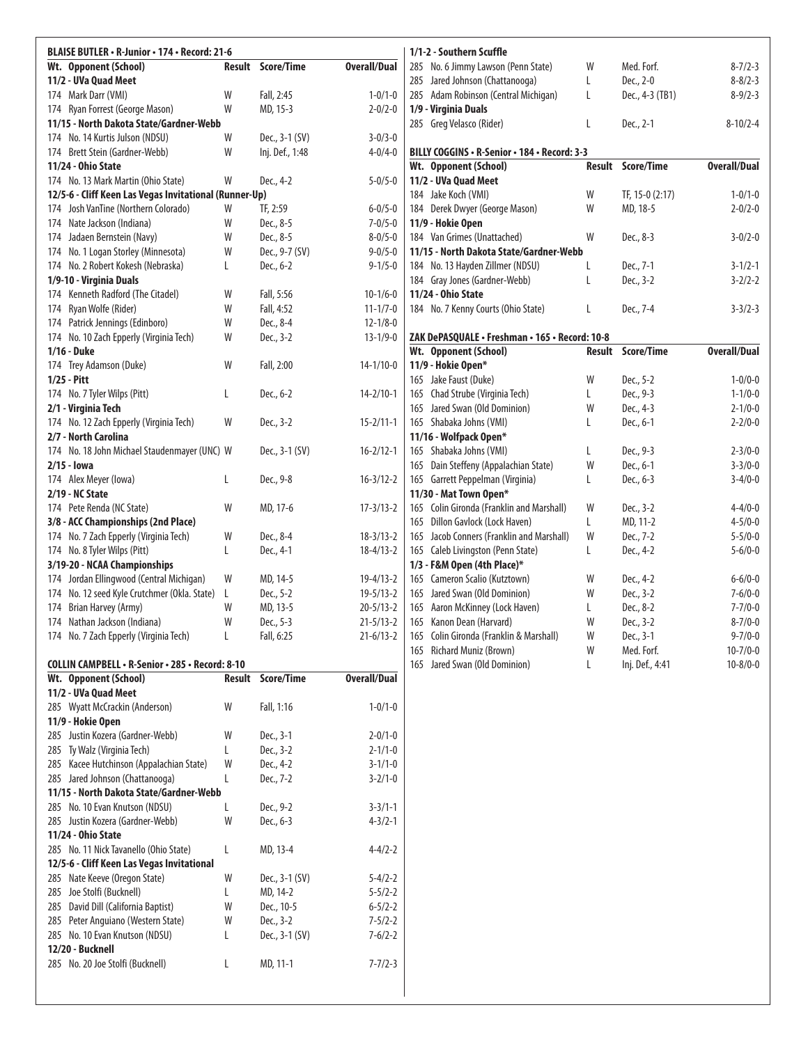| BLAISE BUTLER · R-Junior · 174 · Record: 21-6                    |   |                          |                     | 1/1-2 - Southern Scuffle                                            |        |                       |                                |
|------------------------------------------------------------------|---|--------------------------|---------------------|---------------------------------------------------------------------|--------|-----------------------|--------------------------------|
| Wt. Opponent (School)                                            |   | <b>Result Score/Time</b> | <b>Overall/Dual</b> | 285 No. 6 Jimmy Lawson (Penn State)                                 | W      | Med. Forf.            | $8 - 7/2 - 3$                  |
| 11/2 - UVa Quad Meet                                             |   |                          |                     | 285 Jared Johnson (Chattanooga)                                     | L      | Dec., 2-0             | $8 - 8/2 - 3$                  |
| 174 Mark Darr (VMI)                                              | W | Fall, 2:45               | $1 - 0/1 - 0$       | 285 Adam Robinson (Central Michigan)                                | L      | Dec., 4-3 (TB1)       | $8 - 9/2 - 3$                  |
| 174 Ryan Forrest (George Mason)                                  | W | MD, 15-3                 | $2 - 0/2 - 0$       | 1/9 - Virginia Duals                                                |        |                       |                                |
| 11/15 - North Dakota State/Gardner-Webb                          |   |                          |                     | 285 Greg Velasco (Rider)                                            | L      | Dec., 2-1             | $8 - 10/2 - 4$                 |
| 174 No. 14 Kurtis Julson (NDSU)                                  | W | Dec., 3-1 (SV)           | $3 - 0/3 - 0$       |                                                                     |        |                       |                                |
| 174 Brett Stein (Gardner-Webb)                                   | W | Inj. Def., 1:48          | $4 - 0/4 - 0$       | BILLY COGGINS . R-Senior . 184 . Record: 3-3                        |        |                       |                                |
| 11/24 - Ohio State                                               |   |                          |                     | Wt. Opponent (School)                                               |        | Result Score/Time     | <b>Overall/Dual</b>            |
| 174 No. 13 Mark Martin (Ohio State)                              | W | Dec., 4-2                | $5 - 0/5 - 0$       | 11/2 - UVa Quad Meet                                                |        |                       |                                |
| 12/5-6 - Cliff Keen Las Vegas Invitational (Runner-Up)           |   |                          |                     | 184 Jake Koch (VMI)                                                 | W      | TF, 15-0 (2:17)       | $1 - 0/1 - 0$                  |
| 174 Josh VanTine (Northern Colorado)                             | W | TF, 2:59                 | $6 - 0/5 - 0$       | 184 Derek Dwyer (George Mason)                                      | W      | MD, 18-5              | $2 - 0/2 - 0$                  |
| 174 Nate Jackson (Indiana)                                       | W | Dec., 8-5                | $7 - 0/5 - 0$       | 11/9 - Hokie Open                                                   |        |                       |                                |
| 174 Jadaen Bernstein (Navy)                                      | W | Dec., 8-5                | $8 - 0/5 - 0$       | 184 Van Grimes (Unattached)                                         | W      | Dec., 8-3             | $3 - 0/2 - 0$                  |
| 174 No. 1 Logan Storley (Minnesota)                              | W | Dec., 9-7 (SV)           | $9 - 0/5 - 0$       | 11/15 - North Dakota State/Gardner-Webb                             |        |                       |                                |
| 174 No. 2 Robert Kokesh (Nebraska)                               | L | Dec., 6-2                | $9 - 1/5 - 0$       | 184 No. 13 Hayden Zillmer (NDSU)                                    | L      | Dec., 7-1             | $3 - 1/2 - 1$                  |
| 1/9-10 - Virginia Duals                                          |   |                          |                     | 184 Gray Jones (Gardner-Webb)                                       | L      | Dec., 3-2             | $3 - 2/2 - 2$                  |
| 174 Kenneth Radford (The Citadel)                                | W | Fall, 5:56               | $10-1/6-0$          | 11/24 - Ohio State                                                  |        |                       |                                |
| 174 Ryan Wolfe (Rider)                                           | W | Fall, 4:52               | $11 - 1/7 - 0$      | 184 No. 7 Kenny Courts (Ohio State)                                 | L      | Dec., 7-4             | $3 - 3/2 - 3$                  |
| 174 Patrick Jennings (Edinboro)                                  | W | Dec., 8-4                | $12 - 1/8 - 0$      |                                                                     |        |                       |                                |
| 174 No. 10 Zach Epperly (Virginia Tech)                          | W | Dec., 3-2                | $13 - 1/9 - 0$      | ZAK DePASQUALE · Freshman · 165 · Record: 10-8                      |        |                       |                                |
| 1/16 - Duke                                                      |   |                          |                     | Wt. Opponent (School)                                               |        | Result Score/Time     | <b>Overall/Dual</b>            |
| 174 Trey Adamson (Duke)                                          | W | Fall, 2:00               | $14 - 1/10 - 0$     | 11/9 - Hokie Open*                                                  |        |                       |                                |
| $1/25 - Pitt$                                                    |   |                          |                     | 165 Jake Faust (Duke)                                               | W      | Dec., 5-2             | $1 - 0/0 - 0$                  |
| 174 No. 7 Tyler Wilps (Pitt)                                     | L | Dec., 6-2                | $14 - 2/10 - 1$     | 165 Chad Strube (Virginia Tech)                                     | L      | Dec., 9-3             | $1 - 1/0 - 0$                  |
| 2/1 - Virginia Tech                                              |   |                          |                     | 165 Jared Swan (Old Dominion)                                       | W      | Dec., 4-3             | $2 - 1/0 - 0$                  |
| 174 No. 12 Zach Epperly (Virginia Tech)                          | W | Dec., 3-2                | $15 - 2/11 - 1$     | 165 Shabaka Johns (VMI)                                             | L      | Dec., 6-1             | $2 - 2/0 - 0$                  |
| 2/7 - North Carolina                                             |   |                          |                     | 11/16 - Wolfpack Open*<br>165 Shabaka Johns (VMI)                   |        |                       |                                |
| 174 No. 18 John Michael Staudenmayer (UNC) W                     |   | Dec., 3-1 (SV)           | $16 - 2/12 - 1$     |                                                                     | L<br>W | Dec., 9-3             | $2 - 3/0 - 0$                  |
| 2/15 - <b>Jowa</b>                                               |   |                          | $16 - 3/12 - 2$     | 165 Dain Steffeny (Appalachian State)                               |        | Dec., 6-1             | $3 - 3/0 - 0$                  |
| 174 Alex Meyer (Iowa)                                            | L | Dec., 9-8                |                     | 165 Garrett Peppelman (Virginia)                                    | L      | Dec., 6-3             | $3-4/0-0$                      |
| 2/19 - NC State                                                  | W |                          | $17 - 3/13 - 2$     | 11/30 - Mat Town Open*<br>165 Colin Gironda (Franklin and Marshall) | W      |                       |                                |
| 174 Pete Renda (NC State)<br>3/8 - ACC Championships (2nd Place) |   | MD, 17-6                 |                     | 165 Dillon Gavlock (Lock Haven)                                     | L      | Dec., 3-2<br>MD, 11-2 | $4 - 4/0 - 0$<br>$4 - 5/0 - 0$ |
| 174 No. 7 Zach Epperly (Virginia Tech)                           | W | Dec., 8-4                | $18-3/13-2$         | 165 Jacob Conners (Franklin and Marshall)                           | W      | Dec., 7-2             | $5 - 5/0 - 0$                  |
| 174 No. 8 Tyler Wilps (Pitt)                                     | L | Dec., 4-1                | $18 - 4/13 - 2$     | 165 Caleb Livingston (Penn State)                                   | L      | Dec., 4-2             | $5 - 6/0 - 0$                  |
| 3/19-20 - NCAA Championships                                     |   |                          |                     | 1/3 - F&M Open (4th Place)*                                         |        |                       |                                |
| 174 Jordan Ellingwood (Central Michigan)                         | W | MD, 14-5                 | $19-4/13-2$         | 165 Cameron Scalio (Kutztown)                                       | W      | Dec., 4-2             | $6 - 6/0 - 0$                  |
| 174 No. 12 seed Kyle Crutchmer (Okla. State)                     | L | Dec., 5-2                | $19 - 5/13 - 2$     | 165 Jared Swan (Old Dominion)                                       | W      | Dec., 3-2             | $7 - 6/0 - 0$                  |
| Brian Harvey (Army)<br>174                                       | W | MD, 13-5                 | $20 - 5/13 - 2$     | 165 Aaron McKinney (Lock Haven)                                     | L      | Dec., 8-2             | $7 - 7/0 - 0$                  |
| 174 Nathan Jackson (Indiana)                                     | W | Dec., 5-3                | $21 - 5/13 - 2$     | 165 Kanon Dean (Harvard)                                            | W      | Dec., 3-2             | $8 - 7/0 - 0$                  |
| 174 No. 7 Zach Epperly (Virginia Tech)                           | L | Fall, 6:25               | $21-6/13-2$         | 165 Colin Gironda (Franklin & Marshall)                             | W      | Dec., 3-1             | $9 - 7/0 - 0$                  |
|                                                                  |   |                          |                     | 165 Richard Muniz (Brown)                                           | W      | Med. Forf.            | $10 - 7/0 - 0$                 |
| COLLIN CAMPBELL · R-Senior · 285 · Record: 8-10                  |   |                          |                     | 165 Jared Swan (Old Dominion)                                       | L      | Inj. Def., 4:41       | $10 - 8/0 - 0$                 |
| Wt. Opponent (School)                                            |   | Result Score/Time        | <b>Overall/Dual</b> |                                                                     |        |                       |                                |
| 11/2 - UVa Quad Meet                                             |   |                          |                     |                                                                     |        |                       |                                |
| 285 Wyatt McCrackin (Anderson)                                   | W | Fall, 1:16               | $1 - 0/1 - 0$       |                                                                     |        |                       |                                |
| 11/9 - Hokie Open                                                |   |                          |                     |                                                                     |        |                       |                                |
| 285 Justin Kozera (Gardner-Webb)                                 | W | Dec., 3-1                | $2 - 0/1 - 0$       |                                                                     |        |                       |                                |
| 285 Ty Walz (Virginia Tech)                                      | L | Dec., 3-2                | $2 - 1/1 - 0$       |                                                                     |        |                       |                                |
| 285 Kacee Hutchinson (Appalachian State)                         | W | Dec., 4-2                | $3 - 1/1 - 0$       |                                                                     |        |                       |                                |
| 285 Jared Johnson (Chattanooga)                                  | L | Dec., 7-2                | $3 - 2/1 - 0$       |                                                                     |        |                       |                                |
| 11/15 - North Dakota State/Gardner-Webb                          |   |                          |                     |                                                                     |        |                       |                                |
| 285 No. 10 Evan Knutson (NDSU)                                   | L | Dec., 9-2                | $3 - 3/1 - 1$       |                                                                     |        |                       |                                |
| 285 Justin Kozera (Gardner-Webb)                                 | W | Dec., 6-3                | $4 - 3/2 - 1$       |                                                                     |        |                       |                                |
| 11/24 - Ohio State                                               |   |                          |                     |                                                                     |        |                       |                                |
| 285 No. 11 Nick Tavanello (Ohio State)                           | L | MD, 13-4                 | $4 - 4/2 - 2$       |                                                                     |        |                       |                                |
| 12/5-6 - Cliff Keen Las Vegas Invitational                       |   |                          |                     |                                                                     |        |                       |                                |
| 285 Nate Keeve (Oregon State)                                    | W | Dec., 3-1 (SV)           | $5 - 4/2 - 2$       |                                                                     |        |                       |                                |
| 285 Joe Stolfi (Bucknell)                                        | L | MD, 14-2                 | $5 - 5/2 - 2$       |                                                                     |        |                       |                                |
| 285 David Dill (California Baptist)                              | W | Dec., 10-5               | $6 - 5/2 - 2$       |                                                                     |        |                       |                                |
| 285 Peter Anguiano (Western State)                               | W | Dec., 3-2                | $7 - 5/2 - 2$       |                                                                     |        |                       |                                |
| 285 No. 10 Evan Knutson (NDSU)                                   | L | Dec., 3-1 (SV)           | $7 - 6/2 - 2$       |                                                                     |        |                       |                                |
| 12/20 - Bucknell                                                 |   |                          |                     |                                                                     |        |                       |                                |
| 285 No. 20 Joe Stolfi (Bucknell)                                 | L | MD, 11-1                 | $7 - 7/2 - 3$       |                                                                     |        |                       |                                |
|                                                                  |   |                          |                     |                                                                     |        |                       |                                |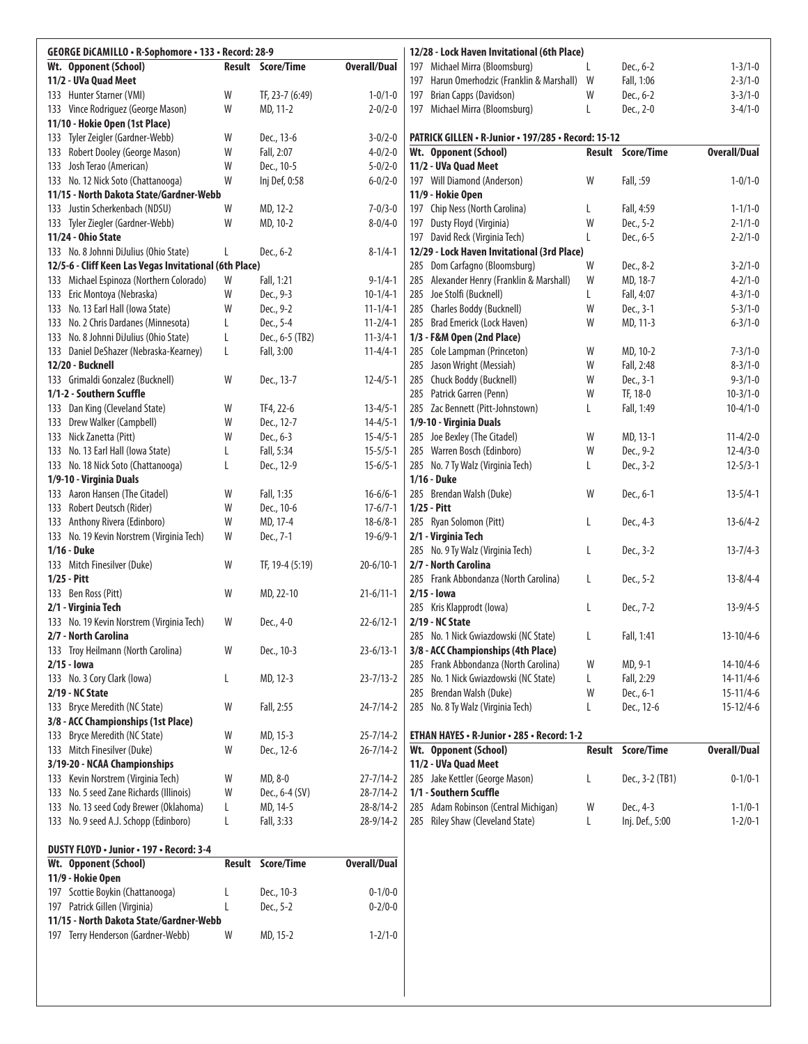| GEORGE DICAMILLO • R-Sophomore • 133 • Record: 28-9    |        |                          |                     |     | 12/28 - Lock Haven Invitational (6th Place)         |   |                          |                     |
|--------------------------------------------------------|--------|--------------------------|---------------------|-----|-----------------------------------------------------|---|--------------------------|---------------------|
| Wt. Opponent (School)                                  |        | <b>Result Score/Time</b> | <b>Overall/Dual</b> |     | 197 Michael Mirra (Bloomsburg)                      | L | Dec., 6-2                | $1 - 3/1 - 0$       |
| 11/2 - UVa Quad Meet                                   |        |                          |                     | 197 | Harun Omerhodzic (Franklin & Marshall) W            |   | Fall, 1:06               | $2 - 3/1 - 0$       |
| 133 Hunter Starner (VMI)                               | W      | TF, 23-7 (6:49)          | $1 - 0/1 - 0$       | 197 | Brian Capps (Davidson)                              | W | Dec., 6-2                | $3 - 3/1 - 0$       |
| 133 Vince Rodriguez (George Mason)                     | W      | MD, 11-2                 | $2 - 0/2 - 0$       |     | 197 Michael Mirra (Bloomsburg)                      | L | Dec., 2-0                | $3 - 4/1 - 0$       |
| 11/10 - Hokie Open (1st Place)                         |        |                          |                     |     |                                                     |   |                          |                     |
| 133 Tyler Zeigler (Gardner-Webb)                       | W      | Dec., 13-6               | $3 - 0/2 - 0$       |     | PATRICK GILLEN · R-Junior · 197/285 · Record: 15-12 |   |                          |                     |
| 133 Robert Dooley (George Mason)                       | W      | Fall, 2:07               | $4 - 0/2 - 0$       |     | Wt. Opponent (School)                               |   | Result Score/Time        | <b>Overall/Dual</b> |
| 133 Josh Terao (American)                              | W      | Dec., 10-5               | $5 - 0/2 - 0$       |     | 11/2 - UVa Quad Meet                                |   |                          |                     |
| 133 No. 12 Nick Soto (Chattanooga)                     | W      | Inj Def, 0:58            | $6 - 0/2 - 0$       |     | 197 Will Diamond (Anderson)                         | W | Fall, :59                | $1 - 0/1 - 0$       |
| 11/15 - North Dakota State/Gardner-Webb                |        |                          |                     |     | 11/9 - Hokie Open                                   |   |                          |                     |
| 133 Justin Scherkenbach (NDSU)                         | W      | MD, 12-2                 | $7 - 0/3 - 0$       |     | 197 Chip Ness (North Carolina)                      | L | Fall, 4:59               | $1 - 1/1 - 0$       |
| 133 Tyler Ziegler (Gardner-Webb)                       | W      | MD, 10-2                 | $8 - 0/4 - 0$       |     | 197 Dusty Floyd (Virginia)                          | W | Dec., 5-2                | $2 - 1/1 - 0$       |
| 11/24 - Ohio State                                     |        |                          |                     |     | 197 David Reck (Virginia Tech)                      | L | Dec., 6-5                | $2 - 2/1 - 0$       |
| 133 No. 8 Johnni DiJulius (Ohio State)                 |        | Dec., 6-2                | $8 - 1/4 - 1$       |     | 12/29 - Lock Haven Invitational (3rd Place)         |   |                          |                     |
| 12/5-6 - Cliff Keen Las Vegas Invitational (6th Place) |        |                          |                     |     | 285 Dom Carfagno (Bloomsburg)                       | W | Dec., 8-2                | $3 - 2/1 - 0$       |
| 133 Michael Espinoza (Northern Colorado)               | W      | Fall, 1:21               | $9 - 1/4 - 1$       |     | 285 Alexander Henry (Franklin & Marshall)           | W | MD, 18-7                 | $4 - 2/1 - 0$       |
| 133 Eric Montoya (Nebraska)                            | W      | Dec., 9-3                | $10-1/4-1$          |     | 285 Joe Stolfi (Bucknell)                           | L | Fall, 4:07               | $4 - 3/1 - 0$       |
| 133 No. 13 Earl Hall (lowa State)                      | W      | Dec., 9-2                | $11 - 1/4 - 1$      |     | 285 Charles Boddy (Bucknell)                        | W | Dec., 3-1                | $5 - 3/1 - 0$       |
| 133 No. 2 Chris Dardanes (Minnesota)                   | L      | Dec., 5-4                | $11 - 2/4 - 1$      |     | 285 Brad Emerick (Lock Haven)                       | W | MD, 11-3                 | $6 - 3/1 - 0$       |
| 133 No. 8 Johnni DiJulius (Ohio State)                 | L      | Dec., 6-5 (TB2)          | $11 - 3/4 - 1$      |     | 1/3 - F&M Open (2nd Place)                          |   |                          |                     |
| 133 Daniel DeShazer (Nebraska-Kearney)                 | L      | Fall, 3:00               | $11 - 4/4 - 1$      |     | 285 Cole Lampman (Princeton)                        | W | MD, 10-2                 | $7 - 3/1 - 0$       |
| 12/20 - Bucknell                                       |        |                          |                     |     | 285 Jason Wright (Messiah)                          | W | Fall, 2:48               | $8 - 3/1 - 0$       |
| 133 Grimaldi Gonzalez (Bucknell)                       | W      | Dec., 13-7               | $12 - 4/5 - 1$      |     | 285 Chuck Boddy (Bucknell)                          | W | Dec., 3-1                | $9 - 3/1 - 0$       |
| 1/1-2 - Southern Scuffle                               |        |                          |                     |     | 285 Patrick Garren (Penn)                           | W | TF, 18-0                 | $10-3/1-0$          |
|                                                        |        |                          |                     |     |                                                     |   |                          |                     |
| 133 Dan King (Cleveland State)                         | W      | TF4, 22-6                | $13 - 4/5 - 1$      |     | 285 Zac Bennett (Pitt-Johnstown)                    | L | Fall, 1:49               | $10 - 4/1 - 0$      |
| 133 Drew Walker (Campbell)                             | W      | Dec., 12-7               | $14 - 4/5 - 1$      |     | 1/9-10 - Virginia Duals                             |   |                          |                     |
| 133 Nick Zanetta (Pitt)                                | W      | Dec., 6-3                | $15 - 4/5 - 1$      |     | 285 Joe Bexley (The Citadel)                        | W | MD, 13-1                 | $11 - 4/2 - 0$      |
| 133 No. 13 Earl Hall (lowa State)                      | L      | Fall, 5:34               | $15 - 5/5 - 1$      |     | 285 Warren Bosch (Edinboro)                         | W | Dec., 9-2                | $12 - 4/3 - 0$      |
| 133 No. 18 Nick Soto (Chattanooga)                     | L      | Dec., 12-9               | $15 - 6/5 - 1$      |     | 285 No. 7 Ty Walz (Virginia Tech)                   | L | Dec., 3-2                | $12 - 5/3 - 1$      |
| 1/9-10 - Virginia Duals                                |        |                          |                     |     | 1/16 - Duke                                         |   |                          |                     |
| 133 Aaron Hansen (The Citadel)                         | W      | Fall, 1:35               | $16 - 6/6 - 1$      |     | 285 Brendan Walsh (Duke)                            | W | Dec., 6-1                | $13 - 5/4 - 1$      |
| 133 Robert Deutsch (Rider)                             | W      | Dec., 10-6               | $17 - 6/7 - 1$      |     | $1/25 - Pitt$                                       |   |                          |                     |
| 133 Anthony Rivera (Edinboro)                          | W      | MD, 17-4                 | $18-6/8-1$          |     | 285 Ryan Solomon (Pitt)                             | L | Dec., 4-3                | $13-6/4-2$          |
| 133 No. 19 Kevin Norstrem (Virginia Tech)              | W      | Dec., 7-1                | $19-6/9-1$          |     | 2/1 - Virginia Tech                                 |   |                          |                     |
| 1/16 - Duke                                            |        |                          |                     |     | 285 No. 9 Ty Walz (Virginia Tech)                   | L | Dec., 3-2                | $13 - 7/4 - 3$      |
| 133 Mitch Finesilver (Duke)                            | W      | TF, 19-4 (5:19)          | $20 - 6/10 - 1$     |     | 2/7 - North Carolina                                |   |                          |                     |
| $1/25 - Pitt$                                          |        |                          |                     |     | 285 Frank Abbondanza (North Carolina)               | L | Dec., 5-2                | $13 - 8/4 - 4$      |
| 133 Ben Ross (Pitt)                                    | W      | MD, 22-10                | $21 - 6/11 - 1$     |     | 2/15 - Iowa                                         |   |                          |                     |
| 2/1 - Virginia Tech                                    |        |                          |                     |     | 285 Kris Klapprodt (Iowa)                           | L | Dec., 7-2                | $13 - 9/4 - 5$      |
| 133 No. 19 Kevin Norstrem (Virginia Tech)              | W      | Dec., 4-0                | $22 - 6/12 - 1$     |     | 2/19 - NC State                                     |   |                          |                     |
| 2/7 - North Carolina                                   |        |                          |                     |     | 285 No. 1 Nick Gwiazdowski (NC State)               | L | Fall, 1:41               | $13 - 10/4 - 6$     |
| 133 Troy Heilmann (North Carolina)                     | W      | Dec., 10-3               | $23 - 6/13 - 1$     |     | 3/8 - ACC Championships (4th Place)                 |   |                          |                     |
| 2/15 - Iowa                                            |        |                          |                     |     | 285 Frank Abbondanza (North Carolina)               | W | MD, 9-1                  | $14 - 10/4 - 6$     |
| 133 No. 3 Cory Clark (Iowa)                            | L      | MD, 12-3                 | $23 - 7/13 - 2$     |     | 285 No. 1 Nick Gwiazdowski (NC State)               | L | Fall, 2:29               | $14 - 11/4 - 6$     |
| 2/19 - NC State                                        |        |                          |                     |     | 285 Brendan Walsh (Duke)                            | W | Dec., 6-1                | $15 - 11/4 - 6$     |
| 133 Bryce Meredith (NC State)                          | W      | Fall, 2:55               | $24 - 7/14 - 2$     |     | 285 No. 8 Ty Walz (Virginia Tech)                   | L | Dec., 12-6               | $15 - 12/4 - 6$     |
| 3/8 - ACC Championships (1st Place)                    |        |                          |                     |     |                                                     |   |                          |                     |
| 133 Bryce Meredith (NC State)                          | W      | MD, 15-3                 | $25 - 7/14 - 2$     |     | ETHAN HAYES . R-Junior . 285 . Record: 1-2          |   |                          |                     |
| 133 Mitch Finesilver (Duke)                            | W      | Dec., 12-6               | $26 - 7/14 - 2$     |     |                                                     |   | <b>Result Score/Time</b> | <b>Overall/Dual</b> |
|                                                        |        |                          |                     |     | Wt. Opponent (School)                               |   |                          |                     |
| 3/19-20 - NCAA Championships                           |        |                          |                     |     | 11/2 - UVa Quad Meet                                |   |                          |                     |
| 133 Kevin Norstrem (Virginia Tech)                     | W      | MD, 8-0                  | $27 - 7/14 - 2$     |     | 285 Jake Kettler (George Mason)                     | L | Dec., 3-2 (TB1)          | $0 - 1/0 - 1$       |
| 133 No. 5 seed Zane Richards (Illinois)                | W      | Dec., 6-4 (SV)           | $28 - 7/14 - 2$     |     | 1/1 - Southern Scuffle                              |   |                          |                     |
| 133 No. 13 seed Cody Brewer (Oklahoma)                 | L      | MD, 14-5                 | $28 - 8/14 - 2$     |     | 285 Adam Robinson (Central Michigan)                | W | Dec., 4-3                | $1 - 1/0 - 1$       |
| 133 No. 9 seed A.J. Schopp (Edinboro)                  | L      | Fall, 3:33               | $28 - 9/14 - 2$     |     | 285 Riley Shaw (Cleveland State)                    | L | Inj. Def., 5:00          | $1 - 2/0 - 1$       |
|                                                        |        |                          |                     |     |                                                     |   |                          |                     |
| DUSTY FLOYD · Junior · 197 · Record: 3-4               |        |                          |                     |     |                                                     |   |                          |                     |
| Wt. Opponent (School)                                  | Result | Score/Time               | <b>Overall/Dual</b> |     |                                                     |   |                          |                     |
| 11/9 - Hokie Open                                      |        |                          |                     |     |                                                     |   |                          |                     |
| 197 Scottie Boykin (Chattanooga)                       |        | Dec., 10-3               | $0 - 1/0 - 0$       |     |                                                     |   |                          |                     |
| 197 Patrick Gillen (Virginia)                          | L      | Dec., 5-2                | $0 - 2/0 - 0$       |     |                                                     |   |                          |                     |
| 11/15 - North Dakota State/Gardner-Webb                |        |                          |                     |     |                                                     |   |                          |                     |
| 197 Terry Henderson (Gardner-Webb)                     | W      | MD, 15-2                 | $1 - 2/1 - 0$       |     |                                                     |   |                          |                     |
|                                                        |        |                          |                     |     |                                                     |   |                          |                     |
|                                                        |        |                          |                     |     |                                                     |   |                          |                     |
|                                                        |        |                          |                     |     |                                                     |   |                          |                     |
|                                                        |        |                          |                     |     |                                                     |   |                          |                     |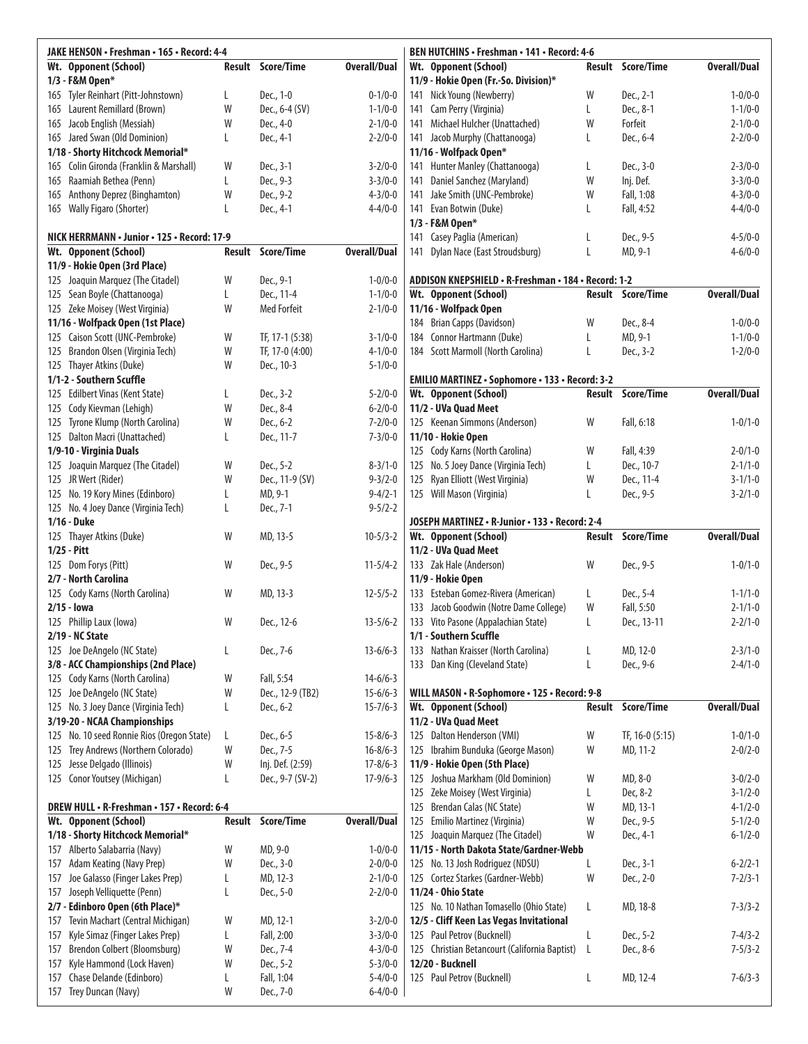| JAKE HENSON · Freshman · 165 · Record: 4-4                           |        |                          | BEN HUTCHINS · Freshman · 141 · Record: 4-6 |                                                                         |        |                          |                                |
|----------------------------------------------------------------------|--------|--------------------------|---------------------------------------------|-------------------------------------------------------------------------|--------|--------------------------|--------------------------------|
| Wt. Opponent (School)                                                |        | Result Score/Time        | <b>Overall/Dual</b>                         | Wt. Opponent (School)                                                   |        | <b>Result Score/Time</b> | <b>Overall/Dual</b>            |
| 1/3 - F&M Open*                                                      |        |                          |                                             | 11/9 - Hokie Open (Fr.-So. Division)*                                   |        |                          |                                |
| Tyler Reinhart (Pitt-Johnstown)<br>165                               | L      | Dec., 1-0                | $0 - 1/0 - 0$                               | 141 Nick Young (Newberry)                                               | W      | Dec., 2-1                | $1 - 0/0 - 0$                  |
| 165 Laurent Remillard (Brown)                                        | W      | Dec., 6-4 (SV)           | $1 - 1/0 - 0$                               | 141 Cam Perry (Virginia)                                                | L      | Dec., 8-1                | $1 - 1/0 - 0$                  |
| Jacob English (Messiah)<br>165                                       | W      | Dec., 4-0                | $2 - 1/0 - 0$                               | Michael Hulcher (Unattached)<br>141                                     | W      | Forfeit                  | $2 - 1/0 - 0$                  |
| 165 Jared Swan (Old Dominion)                                        | L      | Dec., 4-1                | $2 - 2/0 - 0$                               | 141 Jacob Murphy (Chattanooga)                                          | L      | Dec., 6-4                | $2 - 2/0 - 0$                  |
| 1/18 - Shorty Hitchcock Memorial*                                    |        |                          |                                             | 11/16 - Wolfpack Open*                                                  |        |                          |                                |
| Colin Gironda (Franklin & Marshall)<br>165                           | W      | Dec., 3-1                | $3 - 2/0 - 0$                               | 141 Hunter Manley (Chattanooga)                                         | L      | Dec., 3-0                | $2 - 3/0 - 0$                  |
| Raamiah Bethea (Penn)<br>165                                         | L<br>W | Dec., 9-3                | $3 - 3/0 - 0$<br>$4 - 3/0 - 0$              | 141 Daniel Sanchez (Maryland)                                           | W<br>W | Inj. Def.<br>Fall, 1:08  | $3 - 3/0 - 0$<br>$4 - 3/0 - 0$ |
| Anthony Deprez (Binghamton)<br>165<br>165 Wally Figaro (Shorter)     | L      | Dec., 9-2<br>Dec., 4-1   | $4 - 4/0 - 0$                               | Jake Smith (UNC-Pembroke)<br>141<br>141 Evan Botwin (Duke)              | L      | Fall, 4:52               | $4 - 4/0 - 0$                  |
|                                                                      |        |                          |                                             | 1/3 - F&M Open*                                                         |        |                          |                                |
| NICK HERRMANN · Junior · 125 · Record: 17-9                          |        |                          |                                             | 141 Casey Paglia (American)                                             | L      | Dec., 9-5                | $4 - 5/0 - 0$                  |
| Wt. Opponent (School)                                                | Result | Score/Time               | <b>Overall/Dual</b>                         | Dylan Nace (East Stroudsburg)<br>141                                    | L      | MD, 9-1                  | $4 - 6/0 - 0$                  |
| 11/9 - Hokie Open (3rd Place)                                        |        |                          |                                             |                                                                         |        |                          |                                |
| 125 Joaquin Marquez (The Citadel)                                    | W      | Dec., 9-1                | $1 - 0/0 - 0$                               | ADDISON KNEPSHIELD • R-Freshman • 184 • Record: 1-2                     |        |                          |                                |
| 125 Sean Boyle (Chattanooga)                                         | L      | Dec., 11-4               | $1 - 1/0 - 0$                               | Wt. Opponent (School)                                                   |        | Result Score/Time        | <b>Overall/Dual</b>            |
| 125 Zeke Moisey (West Virginia)                                      | W      | <b>Med Forfeit</b>       | $2 - 1/0 - 0$                               | 11/16 - Wolfpack Open                                                   |        |                          |                                |
| 11/16 - Wolfpack Open (1st Place)                                    |        |                          |                                             | 184 Brian Capps (Davidson)                                              | W      | Dec., 8-4                | $1 - 0/0 - 0$                  |
| 125 Caison Scott (UNC-Pembroke)                                      | W      | TF, 17-1 (5:38)          | $3 - 1/0 - 0$                               | 184 Connor Hartmann (Duke)                                              | L      | MD, 9-1                  | $1 - 1/0 - 0$                  |
| 125 Brandon Olsen (Virginia Tech)                                    | W      | TF, 17-0 (4:00)          | $4 - 1/0 - 0$                               | 184 Scott Marmoll (North Carolina)                                      | L      | Dec., 3-2                | $1 - 2/0 - 0$                  |
| 125 Thayer Atkins (Duke)                                             | W      | Dec., 10-3               | $5 - 1/0 - 0$                               |                                                                         |        |                          |                                |
| 1/1-2 - Southern Scuffle                                             |        |                          |                                             | <b>EMILIO MARTINEZ · Sophomore · 133 · Record: 3-2</b>                  |        |                          |                                |
| 125 Edilbert Vinas (Kent State)                                      | L      | Dec., 3-2                | $5 - 2/0 - 0$                               | Wt. Opponent (School)                                                   |        | Result Score/Time        | <b>Overall/Dual</b>            |
| 125 Cody Kievman (Lehigh)                                            | W      | Dec., 8-4                | $6 - 2/0 - 0$                               | 11/2 - UVa Quad Meet                                                    |        |                          |                                |
| 125 Tyrone Klump (North Carolina)                                    | W      | Dec., 6-2                | $7 - 2/0 - 0$                               | 125 Keenan Simmons (Anderson)                                           | W      | Fall, 6:18               | $1 - 0/1 - 0$                  |
| 125 Dalton Macri (Unattached)                                        | L      | Dec., 11-7               | $7 - 3/0 - 0$                               | 11/10 - Hokie Open                                                      |        | Fall, 4:39               | $2 - 0/1 - 0$                  |
| 1/9-10 - Virginia Duals<br>125 Joaquin Marquez (The Citadel)         | W      | Dec., 5-2                | $8 - 3/1 - 0$                               | 125 Cody Karns (North Carolina)<br>125 No. 5 Joey Dance (Virginia Tech) | W<br>L | Dec., 10-7               | $2 - 1/1 - 0$                  |
| 125 JR Wert (Rider)                                                  | W      | Dec., 11-9 (SV)          | $9 - 3/2 - 0$                               | 125 Ryan Elliott (West Virginia)                                        | W      | Dec., 11-4               | $3 - 1/1 - 0$                  |
| 125 No. 19 Kory Mines (Edinboro)                                     | L      | MD, 9-1                  | $9 - 4/2 - 1$                               | 125 Will Mason (Virginia)                                               | L      | Dec., 9-5                | $3 - 2/1 - 0$                  |
| 125 No. 4 Joey Dance (Virginia Tech)                                 | L      | Dec., 7-1                | $9 - 5/2 - 2$                               |                                                                         |        |                          |                                |
| 1/16 - Duke                                                          |        |                          |                                             | JOSEPH MARTINEZ • R-Junior • 133 • Record: 2-4                          |        |                          |                                |
| 125 Thayer Atkins (Duke)                                             | W      | MD, 13-5                 | $10 - 5/3 - 2$                              | Wt. Opponent (School)                                                   |        | Result Score/Time        | <b>Overall/Dual</b>            |
| $1/25 - Pitt$                                                        |        |                          |                                             | 11/2 - UVa Quad Meet                                                    |        |                          |                                |
| 125 Dom Forys (Pitt)                                                 | W      | Dec., 9-5                | $11 - 5/4 - 2$                              | 133 Zak Hale (Anderson)                                                 | W      | Dec., 9-5                | $1 - 0/1 - 0$                  |
| 2/7 - North Carolina                                                 |        |                          |                                             | 11/9 - Hokie Open                                                       |        |                          |                                |
| 125 Cody Karns (North Carolina)                                      | W      | MD, 13-3                 | $12 - 5/5 - 2$                              | 133 Esteban Gomez-Rivera (American)                                     | L      | Dec., 5-4                | $1 - 1/1 - 0$                  |
| $2/15 -$ lowa                                                        |        |                          |                                             | 133 Jacob Goodwin (Notre Dame College)                                  | W      | Fall, 5:50               | $2 - 1/1 - 0$                  |
| 125 Phillip Laux (Iowa)                                              | W      | Dec., 12-6               | $13 - 5/6 - 2$                              | 133 Vito Pasone (Appalachian State)                                     | L      | Dec., 13-11              | $2 - 2/1 - 0$                  |
| 2/19 - NC State                                                      |        |                          |                                             | 1/1 - Southern Scuffle                                                  |        |                          |                                |
| 125 Joe DeAngelo (NC State)                                          | L      | Dec., 7-6                | $13 - 6/6 - 3$                              | 133 Nathan Kraisser (North Carolina)                                    | L      | MD, 12-0                 | $2 - 3/1 - 0$                  |
| 3/8 - ACC Championships (2nd Place)                                  |        |                          |                                             | 133 Dan King (Cleveland State)                                          | L      | Dec., 9-6                | $2 - 4/1 - 0$                  |
| 125 Cody Karns (North Carolina)                                      | W      | Fall, 5:54               | $14 - 6/6 - 3$                              |                                                                         |        |                          |                                |
| Joe DeAngelo (NC State)<br>125                                       | W      | Dec., 12-9 (TB2)         | $15 - 6/6 - 3$                              | WILL MASON • R-Sophomore • 125 • Record: 9-8<br>Wt. Opponent (School)   |        | <b>Result Score/Time</b> | <b>Overall/Dual</b>            |
| 125 No. 3 Joey Dance (Virginia Tech)<br>3/19-20 - NCAA Championships | L      | Dec., 6-2                | $15 - 7/6 - 3$                              | 11/2 - UVa Quad Meet                                                    |        |                          |                                |
| 125 No. 10 seed Ronnie Rios (Oregon State)                           | L      | Dec., 6-5                | $15 - 8/6 - 3$                              | 125 Dalton Henderson (VMI)                                              | W      | TF, $16-0(5:15)$         | $1 - 0/1 - 0$                  |
| Trey Andrews (Northern Colorado)<br>125                              | W      | Dec., 7-5                | $16 - 8/6 - 3$                              | 125 Ibrahim Bunduka (George Mason)                                      | W      | MD, 11-2                 | $2 - 0/2 - 0$                  |
| Jesse Delgado (Illinois)<br>125                                      | W      | Inj. Def. (2:59)         | $17 - 8/6 - 3$                              | 11/9 - Hokie Open (5th Place)                                           |        |                          |                                |
| 125 Conor Youtsey (Michigan)                                         | L      | Dec., 9-7 (SV-2)         | $17-9/6-3$                                  | 125 Joshua Markham (Old Dominion)                                       | W      | MD, 8-0                  | $3 - 0/2 - 0$                  |
|                                                                      |        |                          |                                             | 125 Zeke Moisey (West Virginia)                                         | L      | Dec, 8-2                 | $3 - 1/2 - 0$                  |
| DREW HULL . R-Freshman . 157 . Record: 6-4                           |        |                          |                                             | 125 Brendan Calas (NC State)                                            | W      | MD, 13-1                 | $4 - 1/2 - 0$                  |
| Wt. Opponent (School)                                                |        | <b>Result Score/Time</b> | <b>Overall/Dual</b>                         | 125 Emilio Martinez (Virginia)                                          | W      | Dec., 9-5                | $5 - 1/2 - 0$                  |
| 1/18 - Shorty Hitchcock Memorial*                                    |        |                          |                                             | 125 Joaquin Marquez (The Citadel)                                       | W      | Dec., 4-1                | $6 - 1/2 - 0$                  |
| Alberto Salabarria (Navy)<br>157                                     | W      | MD, 9-0                  | $1 - 0/0 - 0$                               | 11/15 - North Dakota State/Gardner-Webb                                 |        |                          |                                |
| Adam Keating (Navy Prep)<br>157                                      | W      | Dec., 3-0                | $2 - 0/0 - 0$                               | 125 No. 13 Josh Rodriguez (NDSU)                                        | L      | Dec., 3-1                | $6 - 2/2 - 1$                  |
| Joe Galasso (Finger Lakes Prep)<br>157                               | L      | MD, 12-3                 | $2 - 1/0 - 0$                               | 125 Cortez Starkes (Gardner-Webb)                                       | W      | Dec., 2-0                | $7 - 2/3 - 1$                  |
| Joseph Velliquette (Penn)<br>157                                     | L      | Dec., 5-0                | $2 - 2/0 - 0$                               | 11/24 - Ohio State                                                      |        |                          |                                |
| 2/7 - Edinboro Open (6th Place)*                                     |        |                          |                                             | 125 No. 10 Nathan Tomasello (Ohio State)                                | L      | MD, 18-8                 | $7 - 3/3 - 2$                  |
| Tevin Machart (Central Michigan)<br>157                              | W      | MD, 12-1                 | $3 - 2/0 - 0$                               | 12/5 - Cliff Keen Las Vegas Invitational                                |        |                          |                                |
| Kyle Simaz (Finger Lakes Prep)<br>157                                | L      | Fall, 2:00               | $3 - 3/0 - 0$                               | 125 Paul Petrov (Bucknell)                                              | L      | Dec., 5-2                | $7 - 4/3 - 2$                  |
| Brendon Colbert (Bloomsburg)<br>157                                  | W      | Dec., 7-4                | $4 - 3/0 - 0$                               | 125 Christian Betancourt (California Baptist)                           | L      | Dec., 8-6                | $7 - 5/3 - 2$                  |
| Kyle Hammond (Lock Haven)<br>157                                     | W      | Dec., 5-2                | $5 - 3/0 - 0$                               | 12/20 - Bucknell                                                        |        |                          |                                |
| Chase Delande (Edinboro)<br>157                                      | L      | Fall, 1:04               | $5 - 4/0 - 0$                               | 125 Paul Petrov (Bucknell)                                              | L      | MD, 12-4                 | $7 - 6/3 - 3$                  |
| Trey Duncan (Navy)<br>157                                            | W      | Dec., 7-0                | $6 - 4/0 - 0$                               |                                                                         |        |                          |                                |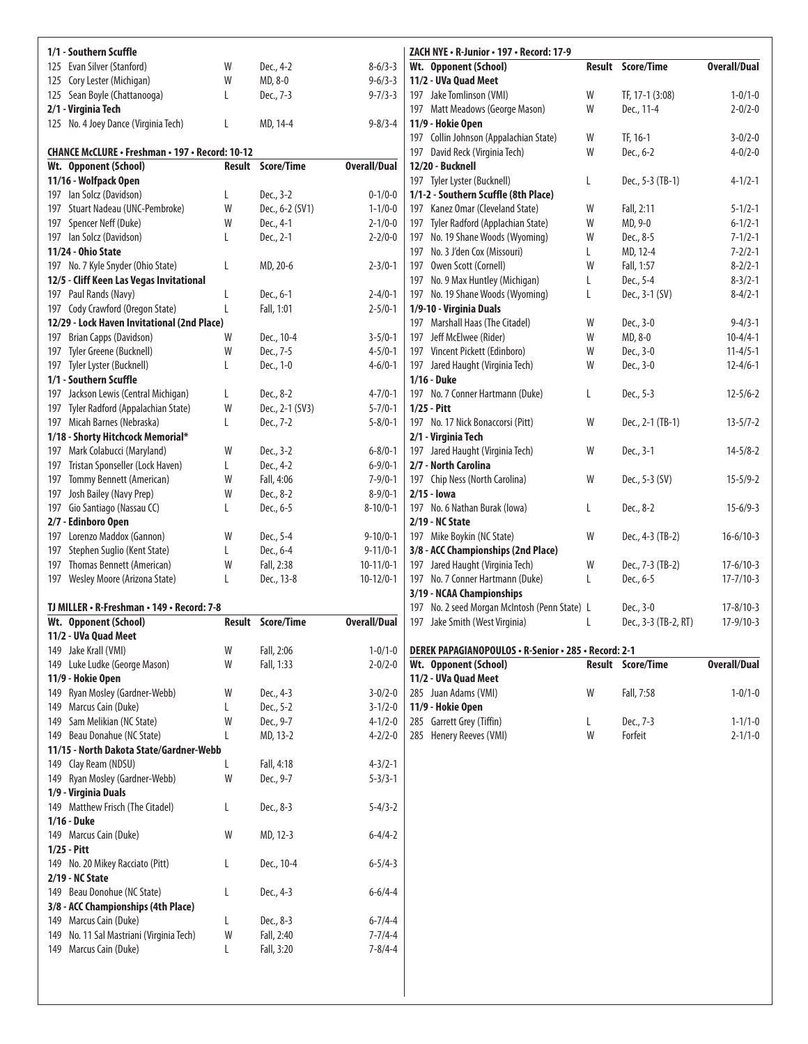| 1/1 - Southern Scuffle                                                 |   |                         |                                | ZACH NYE · R-Junior · 197 · Record: 17-9                                        |   |                                   |                                |
|------------------------------------------------------------------------|---|-------------------------|--------------------------------|---------------------------------------------------------------------------------|---|-----------------------------------|--------------------------------|
| 125 Evan Silver (Stanford)                                             | W | Dec., 4-2               | $8-6/3-3$                      | Wt. Opponent (School)                                                           |   | Result Score/Time                 | <b>Overall/Dual</b>            |
| 125 Cory Lester (Michigan)                                             | W | MD, 8-0                 | $9 - 6/3 - 3$                  | 11/2 - UVa Quad Meet                                                            |   |                                   |                                |
| 125 Sean Boyle (Chattanooga)                                           | L | Dec., 7-3               | $9 - 7/3 - 3$                  | 197 Jake Tomlinson (VMI)                                                        | W | TF, 17-1 (3:08)                   | $1 - 0/1 - 0$                  |
| 2/1 - Virginia Tech                                                    |   |                         |                                | 197 Matt Meadows (George Mason)                                                 | W | Dec., 11-4                        | $2 - 0/2 - 0$                  |
| 125 No. 4 Joey Dance (Virginia Tech)                                   | L | MD, 14-4                | $9 - 8/3 - 4$                  | 11/9 - Hokie Open                                                               |   |                                   |                                |
|                                                                        |   |                         |                                | 197 Collin Johnson (Appalachian State)                                          | W | TF, 16-1                          | $3 - 0/2 - 0$                  |
| <b>CHANCE McCLURE · Freshman · 197 · Record: 10-12</b>                 |   |                         |                                | David Reck (Virginia Tech)<br>197                                               | W | Dec., 6-2                         | $4 - 0/2 - 0$                  |
| Wt. Opponent (School)                                                  |   | Result Score/Time       | <b>Overall/Dual</b>            | 12/20 - Bucknell                                                                |   |                                   |                                |
| 11/16 - Wolfpack Open<br>197 Ian Solcz (Davidson)                      | L | Dec., 3-2               | $0 - 1/0 - 0$                  | 197 Tyler Lyster (Bucknell)<br>1/1-2 - Southern Scuffle (8th Place)             | L | Dec., 5-3 (TB-1)                  | $4 - 1/2 - 1$                  |
| 197 Stuart Nadeau (UNC-Pembroke)                                       | W | Dec., 6-2 (SV1)         | $1 - 1/0 - 0$                  | 197 Kanez Omar (Cleveland State)                                                | W | Fall, 2:11                        | $5 - 1/2 - 1$                  |
| 197 Spencer Neff (Duke)                                                | W | Dec., 4-1               | $2 - 1/0 - 0$                  | 197 Tyler Radford (Applachian State)                                            | W | MD, 9-0                           | $6 - 1/2 - 1$                  |
| 197 Ian Solcz (Davidson)                                               | L | Dec., 2-1               | $2 - 2/0 - 0$                  | 197 No. 19 Shane Woods (Wyoming)                                                | W | Dec., 8-5                         | $7 - 1/2 - 1$                  |
| 11/24 - Ohio State                                                     |   |                         |                                | 197 No. 3 J'den Cox (Missouri)                                                  | L | MD, 12-4                          | $7 - 2/2 - 1$                  |
| 197 No. 7 Kyle Snyder (Ohio State)                                     | L | MD, 20-6                | $2 - 3/0 - 1$                  | 197 Owen Scott (Cornell)                                                        | W | Fall, 1:57                        | $8 - 2/2 - 1$                  |
| 12/5 - Cliff Keen Las Vegas Invitational                               |   |                         |                                | 197 No. 9 Max Huntley (Michigan)                                                | L | Dec., 5-4                         | $8 - 3/2 - 1$                  |
| 197 Paul Rands (Navy)                                                  | L | Dec., 6-1               | $2 - 4/0 - 1$                  | 197 No. 19 Shane Woods (Wyoming)                                                | L | Dec., 3-1 (SV)                    | $8 - 4/2 - 1$                  |
| 197 Cody Crawford (Oregon State)                                       | L | Fall, 1:01              | $2 - 5/0 - 1$                  | 1/9-10 - Virginia Duals                                                         |   |                                   |                                |
| 12/29 - Lock Haven Invitational (2nd Place)                            |   |                         |                                | 197 Marshall Haas (The Citadel)                                                 | W | Dec., 3-0                         | $9 - 4/3 - 1$                  |
| 197 Brian Capps (Davidson)                                             | W | Dec., 10-4              | $3 - 5/0 - 1$                  | 197 Jeff McElwee (Rider)                                                        | W | MD, 8-0                           | $10 - 4/4 - 1$                 |
| 197 Tyler Greene (Bucknell)                                            | W | Dec., 7-5               | $4 - 5/0 - 1$                  | 197 Vincent Pickett (Edinboro)                                                  | W | Dec., 3-0                         | $11 - 4/5 - 1$                 |
| 197 Tyler Lyster (Bucknell)                                            | L | Dec., 1-0               | $4 - 6/0 - 1$                  | 197 Jared Haught (Virginia Tech)                                                | W | Dec., 3-0                         | $12 - 4/6 - 1$                 |
| 1/1 - Southern Scuffle                                                 |   |                         |                                | 1/16 - Duke                                                                     |   |                                   |                                |
| 197 Jackson Lewis (Central Michigan)                                   | L | Dec., 8-2               | $4 - 7/0 - 1$                  | 197 No. 7 Conner Hartmann (Duke)                                                | L | Dec., 5-3                         | $12 - 5/6 - 2$                 |
| Tyler Radford (Appalachian State)<br>197                               | W | Dec., 2-1 (SV3)         | $5 - 7/0 - 1$                  | $1/25 - Pitt$                                                                   |   |                                   |                                |
| 197 Micah Barnes (Nebraska)                                            | L | Dec., 7-2               | $5 - 8/0 - 1$                  | 197 No. 17 Nick Bonaccorsi (Pitt)                                               | W | Dec., 2-1 (TB-1)                  | $13 - 5/7 - 2$                 |
| 1/18 - Shorty Hitchcock Memorial*                                      |   |                         |                                | 2/1 - Virginia Tech                                                             |   |                                   |                                |
| 197 Mark Colabucci (Maryland)                                          | W | Dec., 3-2               | $6 - 8/0 - 1$                  | 197 Jared Haught (Virginia Tech)                                                | W | Dec., 3-1                         | $14 - 5/8 - 2$                 |
| Tristan Sponseller (Lock Haven)<br>197                                 | L | Dec., 4-2               | $6 - 9/0 - 1$                  | 2/7 - North Carolina                                                            |   |                                   |                                |
| Tommy Bennett (American)<br>197                                        | W | Fall, 4:06              | $7 - 9/0 - 1$                  | 197 Chip Ness (North Carolina)                                                  | W | Dec., 5-3 (SV)                    | $15 - 5/9 - 2$                 |
| 197 Josh Bailey (Navy Prep)                                            | W | Dec., 8-2               | $8 - 9/0 - 1$                  | $2/15 -$ lowa                                                                   |   |                                   |                                |
| Gio Santiago (Nassau CC)<br>197                                        | L | Dec., 6-5               | $8-10/0-1$                     | 197 No. 6 Nathan Burak (lowa)                                                   | L | Dec., 8-2                         | $15-6/9-3$                     |
| 2/7 - Edinboro Open                                                    |   |                         |                                | 2/19 - NC State                                                                 |   |                                   |                                |
| Lorenzo Maddox (Gannon)<br>197                                         | W | Dec., 5-4               | $9 - 10/0 - 1$                 | 197 Mike Boykin (NC State)                                                      | W | Dec., 4-3 (TB-2)                  | $16 - 6/10 - 3$                |
| Stephen Suglio (Kent State)<br>197                                     | L | Dec., 6-4               | $9 - 11/0 - 1$                 | 3/8 - ACC Championships (2nd Place)                                             |   |                                   |                                |
| 197 Thomas Bennett (American)                                          | W | Fall, 2:38              | $10-11/0-1$                    | 197 Jared Haught (Virginia Tech)                                                | W | Dec., 7-3 (TB-2)                  | $17 - 6/10 - 3$                |
| 197 Wesley Moore (Arizona State)                                       | L | Dec., 13-8              | $10-12/0-1$                    | 197 No. 7 Conner Hartmann (Duke)                                                | L | Dec., 6-5                         | $17 - 7/10 - 3$                |
|                                                                        |   |                         |                                | 3/19 - NCAA Championships                                                       |   |                                   |                                |
| TJ MILLER • R-Freshman • 149 • Record: 7-8<br>Wt. Opponent (School)    |   | Result Score/Time       | <b>Overall/Dual</b>            | 197 No. 2 seed Morgan McIntosh (Penn State) L<br>197 Jake Smith (West Virginia) |   | Dec., 3-0<br>Dec., 3-3 (TB-2, RT) | $17 - 8/10 - 3$<br>$17-9/10-3$ |
| 11/2 - UVa Quad Meet                                                   |   |                         |                                |                                                                                 | L |                                   |                                |
| 149 Jake Krall (VMI)                                                   | W | Fall, 2:06              | $1 - 0/1 - 0$                  | DEREK PAPAGIANOPOULOS · R-Senior · 285 · Record: 2-1                            |   |                                   |                                |
| 149 Luke Ludke (George Mason)                                          | W | Fall, 1:33              | $2 - 0/2 - 0$                  | Wt. Opponent (School)                                                           |   | <b>Result Score/Time</b>          | <b>Overall/Dual</b>            |
| 11/9 - Hokie Open                                                      |   |                         |                                | 11/2 - UVa Quad Meet                                                            |   |                                   |                                |
| 149 Ryan Mosley (Gardner-Webb)                                         | W | Dec., 4-3               | $3 - 0/2 - 0$                  | 285 Juan Adams (VMI)                                                            | W | Fall, 7:58                        | $1 - 0/1 - 0$                  |
| 149 Marcus Cain (Duke)                                                 |   |                         |                                |                                                                                 |   |                                   |                                |
| Sam Melikian (NC State)<br>149                                         |   |                         |                                |                                                                                 |   |                                   |                                |
|                                                                        | L | Dec., 5-2               | $3 - 1/2 - 0$                  | 11/9 - Hokie Open                                                               |   |                                   |                                |
|                                                                        | W | Dec., 9-7               | $4 - 1/2 - 0$                  | 285 Garrett Grey (Tiffin)                                                       | L | Dec., 7-3                         | $1 - 1/1 - 0$                  |
| 149 Beau Donahue (NC State)<br>11/15 - North Dakota State/Gardner-Webb |   | MD, 13-2                | $4 - 2/2 - 0$                  | 285 Henery Reeves (VMI)                                                         | W | Forfeit                           | $2 - 1/1 - 0$                  |
|                                                                        |   |                         |                                |                                                                                 |   |                                   |                                |
| 149 Clay Ream (NDSU)<br>149 Ryan Mosley (Gardner-Webb)                 | W | Fall, 4:18<br>Dec., 9-7 | $4 - 3/2 - 1$<br>$5 - 3/3 - 1$ |                                                                                 |   |                                   |                                |
| 1/9 - Virginia Duals                                                   |   |                         |                                |                                                                                 |   |                                   |                                |
| 149 Matthew Frisch (The Citadel)                                       | L | Dec., 8-3               | $5 - 4/3 - 2$                  |                                                                                 |   |                                   |                                |
| 1/16 - Duke                                                            |   |                         |                                |                                                                                 |   |                                   |                                |
| 149 Marcus Cain (Duke)                                                 | W | MD, 12-3                | $6 - 4/4 - 2$                  |                                                                                 |   |                                   |                                |
| $1/25$ - Pitt                                                          |   |                         |                                |                                                                                 |   |                                   |                                |
| 149 No. 20 Mikey Racciato (Pitt)                                       | L | Dec., 10-4              | $6 - 5/4 - 3$                  |                                                                                 |   |                                   |                                |
| 2/19 - NC State                                                        |   |                         |                                |                                                                                 |   |                                   |                                |
| 149 Beau Donohue (NC State)                                            | L | Dec., 4-3               | $6 - 6/4 - 4$                  |                                                                                 |   |                                   |                                |
| 3/8 - ACC Championships (4th Place)                                    |   |                         |                                |                                                                                 |   |                                   |                                |
| 149 Marcus Cain (Duke)                                                 | L | Dec., 8-3               | $6 - 7/4 - 4$                  |                                                                                 |   |                                   |                                |
| No. 11 Sal Mastriani (Virginia Tech)<br>149                            | W | Fall, 2:40              | $7 - 7/4 - 4$                  |                                                                                 |   |                                   |                                |
| 149 Marcus Cain (Duke)                                                 | L | Fall, 3:20              | $7 - 8/4 - 4$                  |                                                                                 |   |                                   |                                |
|                                                                        |   |                         |                                |                                                                                 |   |                                   |                                |
|                                                                        |   |                         |                                |                                                                                 |   |                                   |                                |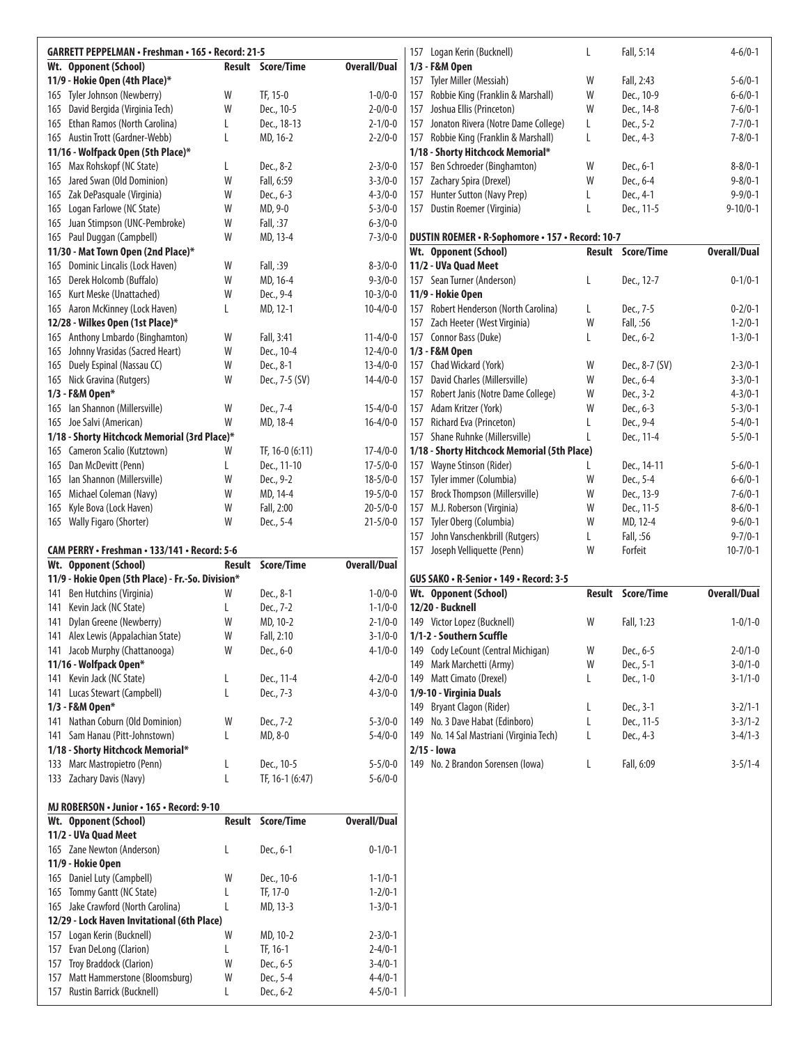|     | <b>GARRETT PEPPELMAN · Freshman · 165 · Record: 21-5</b>       |             |                          |                                |     | 157 Logan Kerin (Bucknell)                       | L | Fall, 5:14               | $4 - 6/0 - 1$       |
|-----|----------------------------------------------------------------|-------------|--------------------------|--------------------------------|-----|--------------------------------------------------|---|--------------------------|---------------------|
|     | Wt. Opponent (School)                                          |             | Result Score/Time        | <b>Overall/Dual</b>            |     | 1/3 - F&M Open                                   |   |                          |                     |
|     |                                                                |             |                          |                                |     |                                                  |   | Fall, 2:43               |                     |
|     | 11/9 - Hokie Open (4th Place)*                                 |             |                          |                                | 157 | Tyler Miller (Messiah)                           | W |                          | $5 - 6/0 - 1$       |
|     | 165 Tyler Johnson (Newberry)                                   | W           | TF, 15-0                 | $1 - 0/0 - 0$                  | 157 | Robbie King (Franklin & Marshall)                | W | Dec., 10-9               | $6 - 6/0 - 1$       |
| 165 | David Bergida (Virginia Tech)                                  | W           | Dec., 10-5               | $2 - 0/0 - 0$                  | 157 | Joshua Ellis (Princeton)                         | W | Dec., 14-8               | $7 - 6/0 - 1$       |
|     | 165 Ethan Ramos (North Carolina)                               | L           | Dec., 18-13              | $2 - 1/0 - 0$                  | 157 | Jonaton Rivera (Notre Dame College)              | L | Dec., 5-2                | $7 - 7/0 - 1$       |
|     | 165 Austin Trott (Gardner-Webb)                                | L           | MD, 16-2                 | $2 - 2/0 - 0$                  |     | 157 Robbie King (Franklin & Marshall)            | L | Dec., 4-3                | $7 - 8/0 - 1$       |
|     | 11/16 - Wolfpack Open (5th Place)*                             |             |                          |                                |     | 1/18 - Shorty Hitchcock Memorial*                |   |                          |                     |
|     | 165 Max Rohskopf (NC State)                                    | L           | Dec., 8-2                | $2 - 3/0 - 0$                  |     | 157 Ben Schroeder (Binghamton)                   | W | Dec., 6-1                | $8 - 8/0 - 1$       |
|     | 165 Jared Swan (Old Dominion)                                  | W           | Fall, 6:59               | $3 - 3/0 - 0$                  | 157 | Zachary Spira (Drexel)                           | W | Dec., 6-4                | $9 - 8/0 - 1$       |
|     | 165 Zak DePasquale (Virginia)                                  | W           | Dec., 6-3                | $4 - 3/0 - 0$                  | 157 | Hunter Sutton (Navy Prep)                        | L | Dec., 4-1                | $9 - 9/0 - 1$       |
|     | 165 Logan Farlowe (NC State)                                   | W           | MD, 9-0                  | $5 - 3/0 - 0$                  |     | 157 Dustin Roemer (Virginia)                     | L | Dec., 11-5               | $9 - 10/0 - 1$      |
|     | 165 Juan Stimpson (UNC-Pembroke)                               | W           | Fall, :37                | $6 - 3/0 - 0$                  |     |                                                  |   |                          |                     |
|     | 165 Paul Duggan (Campbell)                                     | W           | MD, 13-4                 | $7 - 3/0 - 0$                  |     | DUSTIN ROEMER · R-Sophomore · 157 · Record: 10-7 |   |                          |                     |
|     | 11/30 - Mat Town Open (2nd Place)*                             |             |                          |                                |     | Wt. Opponent (School)                            |   | <b>Result Score/Time</b> | <b>Overall/Dual</b> |
|     | 165 Dominic Lincalis (Lock Haven)                              | W           | Fall, :39                | $8 - 3/0 - 0$                  |     | 11/2 - UVa Quad Meet                             |   |                          |                     |
|     | 165 Derek Holcomb (Buffalo)                                    | W           | MD, 16-4                 | $9 - 3/0 - 0$                  |     | 157 Sean Turner (Anderson)                       | L | Dec., 12-7               | $0 - 1/0 - 1$       |
|     | 165 Kurt Meske (Unattached)                                    | W           | Dec., 9-4                | $10 - 3/0 - 0$                 |     | 11/9 - Hokie Open                                |   |                          |                     |
|     | 165 Aaron McKinney (Lock Haven)                                | L           | MD, 12-1                 | $10 - 4/0 - 0$                 |     | 157 Robert Henderson (North Carolina)            | L | Dec., 7-5                | $0 - 2/0 - 1$       |
|     | 12/28 - Wilkes Open (1st Place)*                               |             |                          |                                |     | 157 Zach Heeter (West Virginia)                  | W | Fall, :56                | $1 - 2/0 - 1$       |
|     | 165 Anthony Lmbardo (Binghamton)                               | W           | Fall, 3:41               | $11 - 4/0 - 0$                 |     | 157 Connor Bass (Duke)                           | L | Dec., 6-2                | $1 - 3/0 - 1$       |
|     | 165 Johnny Vrasidas (Sacred Heart)                             | W           | Dec., 10-4               | $12 - 4/0 - 0$                 |     | 1/3 - F&M Open                                   |   |                          |                     |
|     |                                                                | W           | Dec., 8-1                | $13 - 4/0 - 0$                 |     | 157 Chad Wickard (York)                          | W |                          |                     |
| 165 | Duely Espinal (Nassau CC)                                      |             |                          |                                |     |                                                  |   | Dec., 8-7 (SV)           | $2 - 3/0 - 1$       |
|     | 165 Nick Gravina (Rutgers)                                     | W           | Dec., 7-5 (SV)           | $14 - 4/0 - 0$                 |     | 157 David Charles (Millersville)                 | W | Dec., 6-4                | $3 - 3/0 - 1$       |
|     | 1/3 - F&M Open*                                                |             |                          |                                | 157 | Robert Janis (Notre Dame College)                | W | Dec., 3-2                | $4 - 3/0 - 1$       |
| 165 | Ian Shannon (Millersville)                                     | W           | Dec., 7-4                | $15 - 4/0 - 0$                 | 157 | Adam Kritzer (York)                              | W | Dec., 6-3                | $5 - 3/0 - 1$       |
|     | 165 Joe Salvi (American)                                       | W           | MD, 18-4                 | $16 - 4/0 - 0$                 |     | 157 Richard Eva (Princeton)                      | L | Dec., 9-4                | $5 - 4/0 - 1$       |
|     | 1/18 - Shorty Hitchcock Memorial (3rd Place)*                  |             |                          |                                |     | 157 Shane Ruhnke (Millersville)                  | L | Dec., 11-4               | $5 - 5/0 - 1$       |
|     | 165 Cameron Scalio (Kutztown)                                  | W           | TF, 16-0 (6:11)          | $17 - 4/0 - 0$                 |     | 1/18 - Shorty Hitchcock Memorial (5th Place)     |   |                          |                     |
|     | 165 Dan McDevitt (Penn)                                        | L           | Dec., 11-10              | $17 - 5/0 - 0$                 | 157 | Wayne Stinson (Rider)                            | L | Dec., 14-11              | $5 - 6/0 - 1$       |
|     | 165 Ian Shannon (Millersville)                                 | W           | Dec., 9-2                | $18 - 5/0 - 0$                 | 157 | Tyler immer (Columbia)                           | W | Dec., 5-4                | $6 - 6/0 - 1$       |
|     | 165 Michael Coleman (Navy)                                     | W           | MD, 14-4                 | $19 - 5/0 - 0$                 |     | 157 Brock Thompson (Millersville)                | W | Dec., 13-9               | $7 - 6/0 - 1$       |
| 165 | Kyle Bova (Lock Haven)                                         | W           | Fall, 2:00               | $20 - 5/0 - 0$                 |     | 157 M.J. Roberson (Virginia)                     | W | Dec., 11-5               | $8 - 6/0 - 1$       |
|     | 165 Wally Figaro (Shorter)                                     | W           | Dec., 5-4                | $21 - 5/0 - 0$                 | 157 | Tyler Oberg (Columbia)                           | W | MD, 12-4                 | $9 - 6/0 - 1$       |
|     |                                                                |             |                          |                                | 157 | John Vanschenkbrill (Rutgers)                    | L | Fall, :56                | $9 - 7/0 - 1$       |
|     | CAM PERRY · Freshman · 133/141 · Record: 5-6                   |             |                          |                                | 157 | Joseph Velliquette (Penn)                        | W | Forfeit                  | $10 - 7/0 - 1$      |
|     | Wt. Opponent (School)                                          |             | <b>Result Score/Time</b> | <b>Overall/Dual</b>            |     |                                                  |   |                          |                     |
|     | 11/9 - Hokie Open (5th Place) - Fr.-So. Division*              |             |                          |                                |     | GUS SAKO · R-Senior · 149 · Record: 3-5          |   |                          |                     |
|     | 141 Ben Hutchins (Virginia)                                    | W           | Dec., 8-1                | $1 - 0/0 - 0$                  |     | Wt. Opponent (School)                            |   | Result Score/Time        | <b>Overall/Dual</b> |
|     | 141 Kevin Jack (NC State)                                      | L           | Dec., 7-2                | $1 - 1/0 - 0$                  |     | 12/20 - Bucknell                                 |   |                          |                     |
|     | 141 Dylan Greene (Newberry)                                    | W           | MD, 10-2                 | $2 - 1/0 - 0$                  |     | 149 Victor Lopez (Bucknell)                      | W | Fall, 1:23               | $1 - 0/1 - 0$       |
|     | 141 Alex Lewis (Appalachian State)                             | W           | Fall, 2:10               | $3 - 1/0 - 0$                  |     | 1/1-2 - Southern Scuffle                         |   |                          |                     |
|     | 141 Jacob Murphy (Chattanooga)                                 | W           | Dec., 6-0                | $4 - 1/0 - 0$                  |     | 149 Cody LeCount (Central Michigan)              |   | Dec., 6-5                | $2 - 0/1 - 0$       |
|     |                                                                |             |                          |                                |     |                                                  | W |                          |                     |
|     | 11/16 - Wolfpack Open*                                         |             |                          |                                | 149 | Mark Marchetti (Army)                            | W | Dec., 5-1                | $3 - 0/1 - 0$       |
|     | 141 Kevin Jack (NC State)                                      | L           | Dec., 11-4               | $4 - 2/0 - 0$                  |     | 149 Matt Cimato (Drexel)                         | L | Dec., 1-0                | $3 - 1/1 - 0$       |
|     | 141 Lucas Stewart (Campbell)                                   | L           | Dec., 7-3                | $4 - 3/0 - 0$                  |     | 1/9-10 - Virginia Duals                          |   |                          |                     |
|     | 1/3 - F&M Open*                                                |             |                          |                                |     | 149 Bryant Clagon (Rider)                        | L | Dec., 3-1                | $3 - 2/1 - 1$       |
|     | 141 Nathan Coburn (Old Dominion)                               | W           | Dec., 7-2                | $5 - 3/0 - 0$                  |     | 149 No. 3 Dave Habat (Edinboro)                  | L | Dec., 11-5               | $3 - 3/1 - 2$       |
|     | 141 Sam Hanau (Pitt-Johnstown)                                 | L           | MD, 8-0                  | $5 - 4/0 - 0$                  | 149 | No. 14 Sal Mastriani (Virginia Tech)             | L | Dec., 4-3                | $3-4/1-3$           |
|     | 1/18 - Shorty Hitchcock Memorial*                              |             |                          |                                |     | 2/15 - Iowa                                      |   |                          |                     |
|     | 133 Marc Mastropietro (Penn)                                   | L           | Dec., 10-5               | $5 - 5/0 - 0$                  |     | 149 No. 2 Brandon Sorensen (lowa)                | L | Fall, 6:09               | $3 - 5/1 - 4$       |
|     | 133 Zachary Davis (Navy)                                       | $\mathsf L$ | TF, 16-1 (6:47)          | $5 - 6/0 - 0$                  |     |                                                  |   |                          |                     |
|     |                                                                |             |                          |                                |     |                                                  |   |                          |                     |
|     | MJ ROBERSON · Junior · 165 · Record: 9-10                      |             |                          |                                |     |                                                  |   |                          |                     |
|     | Wt. Opponent (School)                                          |             | <b>Result Score/Time</b> | <b>Overall/Dual</b>            |     |                                                  |   |                          |                     |
|     | 11/2 - UVa Quad Meet                                           |             |                          |                                |     |                                                  |   |                          |                     |
|     | 165 Zane Newton (Anderson)                                     | L           | Dec., 6-1                | $0 - 1/0 - 1$                  |     |                                                  |   |                          |                     |
|     | 11/9 - Hokie Open                                              |             |                          |                                |     |                                                  |   |                          |                     |
|     | 165 Daniel Luty (Campbell)                                     | W           | Dec., 10-6               | $1 - 1/0 - 1$                  |     |                                                  |   |                          |                     |
|     | 165 Tommy Gantt (NC State)                                     |             | TF, 17-0                 | $1 - 2/0 - 1$                  |     |                                                  |   |                          |                     |
|     | 165 Jake Crawford (North Carolina)                             | L           | MD, 13-3                 | $1 - 3/0 - 1$                  |     |                                                  |   |                          |                     |
|     | 12/29 - Lock Haven Invitational (6th Place)                    |             |                          |                                |     |                                                  |   |                          |                     |
|     |                                                                | W           |                          |                                |     |                                                  |   |                          |                     |
|     | 157 Logan Kerin (Bucknell)                                     |             | MD, 10-2                 | $2 - 3/0 - 1$                  |     |                                                  |   |                          |                     |
| 157 | Evan DeLong (Clarion)                                          | L           | TF, 16-1                 | $2 - 4/0 - 1$                  |     |                                                  |   |                          |                     |
| 157 | Troy Braddock (Clarion)                                        | W           | Dec., 6-5                | $3-4/0-1$                      |     |                                                  |   |                          |                     |
|     |                                                                |             |                          |                                |     |                                                  |   |                          |                     |
| 157 | Matt Hammerstone (Bloomsburg)<br>157 Rustin Barrick (Bucknell) | W<br>L      | Dec., 5-4<br>Dec., 6-2   | $4 - 4/0 - 1$<br>$4 - 5/0 - 1$ |     |                                                  |   |                          |                     |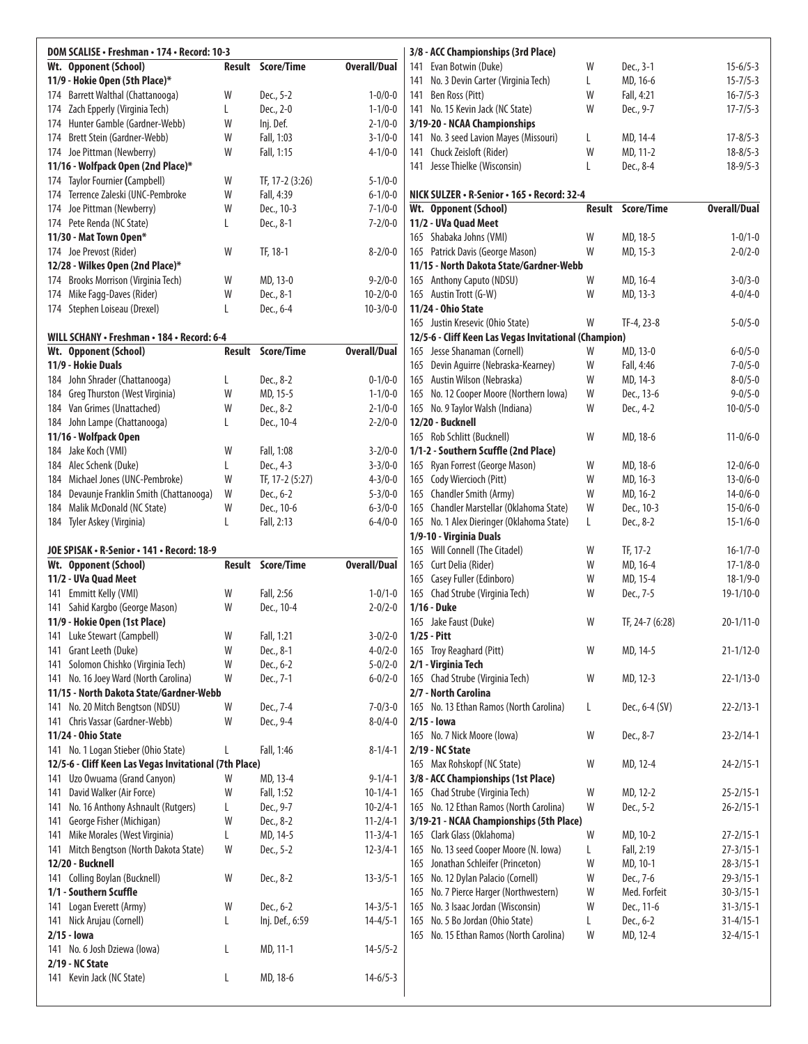| DOM SCALISE • Freshman • 174 • Record: 10-3 |               |                   |                     |  |  |  |  |  |  |
|---------------------------------------------|---------------|-------------------|---------------------|--|--|--|--|--|--|
| Wt. Opponent (School)                       | <b>Result</b> | Score/Time        | <b>Overall/Dual</b> |  |  |  |  |  |  |
| 11/9 - Hokie Open (5th Place)*              |               |                   |                     |  |  |  |  |  |  |
| 174 Barrett Walthal (Chattanooga)           | W             | Dec., 5-2         | $1 - 0/0 - 0$       |  |  |  |  |  |  |
| 174 Zach Epperly (Virginia Tech)            | L             | Dec., 2-0         | $1 - 1/0 - 0$       |  |  |  |  |  |  |
| 174 Hunter Gamble (Gardner-Webb)            | W             | Inj. Def.         | $2 - 1/0 - 0$       |  |  |  |  |  |  |
| 174 Brett Stein (Gardner-Webb)              | W             | Fall, 1:03        | $3 - 1/0 - 0$       |  |  |  |  |  |  |
| 174 Joe Pittman (Newberry)                  | W             | Fall, 1:15        | $4 - 1/0 - 0$       |  |  |  |  |  |  |
| 11/16 - Wolfpack Open (2nd Place)*          |               |                   |                     |  |  |  |  |  |  |
| 174 Taylor Fournier (Campbell)              | W             | TF, 17-2 (3:26)   | $5 - 1/0 - 0$       |  |  |  |  |  |  |
| 174 Terrence Zaleski (UNC-Pembroke          | W             | Fall, 4:39        | $6 - 1/0 - 0$       |  |  |  |  |  |  |
| 174 Joe Pittman (Newberry)                  | W             | Dec., 10-3        | $7 - 1/0 - 0$       |  |  |  |  |  |  |
| 174 Pete Renda (NC State)                   | L             | Dec., 8-1         | $7 - 2/0 - 0$       |  |  |  |  |  |  |
| 11/30 - Mat Town Open*                      |               |                   |                     |  |  |  |  |  |  |
| 174 Joe Prevost (Rider)                     | W             | TF, 18-1          | $8 - 2/0 - 0$       |  |  |  |  |  |  |
| 12/28 - Wilkes Open (2nd Place)*            |               |                   |                     |  |  |  |  |  |  |
| 174 Brooks Morrison (Virginia Tech)         | W             | MD, 13-0          | $9 - 2/0 - 0$       |  |  |  |  |  |  |
| 174 Mike Fagg-Daves (Rider)                 | W             | Dec., 8-1         | $10 - 2/0 - 0$      |  |  |  |  |  |  |
| 174 Stephen Loiseau (Drexel)                | L             | Dec., 6-4         | $10-3/0-0$          |  |  |  |  |  |  |
| WILL SCHANY · Freshman · 184 · Record: 6-4  |               |                   |                     |  |  |  |  |  |  |
| Wt. Opponent (School)                       | <b>Result</b> | <b>Score/Time</b> | <b>Overall/Dual</b> |  |  |  |  |  |  |
| 11/9 - Hokie Duals                          |               |                   |                     |  |  |  |  |  |  |
| 184 John Shrader (Chattanooga)              | L             | Dec., 8-2         | $0 - 1/0 - 0$       |  |  |  |  |  |  |
| 184 Greg Thurston (West Virginia)           | W             | MD, 15-5          | $1 - 1/0 - 0$       |  |  |  |  |  |  |
| 184 Van Grimes (Unattached)                 | W             | Dec., 8-2         | $2 - 1/0 - 0$       |  |  |  |  |  |  |
| 184 John Lampe (Chattanooga)                | L             | Dec., 10-4        | $2 - 2/0 - 0$       |  |  |  |  |  |  |
| 11/16 - Wolfpack Open                       |               |                   |                     |  |  |  |  |  |  |
| 184 Jake Koch (VMI)                         | W             | Fall, 1:08        | $3 - 2/0 - 0$       |  |  |  |  |  |  |
| 184 Alec Schenk (Duke)                      | L             | Dec., 4-3         | $3 - 3/0 - 0$       |  |  |  |  |  |  |
| 184 Michael Jones (UNC-Pembroke)            | W             | TF, 17-2 (5:27)   | $4 - 3/0 - 0$       |  |  |  |  |  |  |
| 184 Devaunje Franklin Smith (Chattanooga)   | W             | Dec., 6-2         | $5 - 3/0 - 0$       |  |  |  |  |  |  |
| 184 Malik McDonald (NC State)               | W             | Dec., 10-6        | $6 - 3/0 - 0$       |  |  |  |  |  |  |
| 184 Tyler Askey (Virginia)                  | L             | Fall, 2:13        | $6 - 4/0 - 0$       |  |  |  |  |  |  |
|                                             |               |                   |                     |  |  |  |  |  |  |
| JOE SPISAK · R-Senior · 141 · Record: 18-9  |               |                   |                     |  |  |  |  |  |  |
| Wt Onnonant (School)                        | Rocult        | Score/Time        | Overall/Dual        |  |  |  |  |  |  |

| Wt. Opponent (School)                                  | <b>Result</b> | Score/Time      | <b>Overall/Dual</b> |
|--------------------------------------------------------|---------------|-----------------|---------------------|
| 11/2 - UVa Quad Meet                                   |               |                 |                     |
| 141 Emmitt Kelly (VMI)                                 | W             | Fall, 2:56      | $1 - 0/1 - 0$       |
| 141 Sahid Kargbo (George Mason)                        | W             | Dec., 10-4      | $2 - 0/2 - 0$       |
| 11/9 - Hokie Open (1st Place)                          |               |                 |                     |
| 141 Luke Stewart (Campbell)                            | W             | Fall, 1:21      | $3 - 0/2 - 0$       |
| 141 Grant Leeth (Duke)                                 | W             | Dec., 8-1       | $4 - 0/2 - 0$       |
| 141 Solomon Chishko (Virginia Tech)                    | W             | Dec., 6-2       | $5 - 0/2 - 0$       |
| No. 16 Joey Ward (North Carolina)<br>141               | W             | Dec., 7-1       | $6 - 0/2 - 0$       |
| 11/15 - North Dakota State/Gardner-Webb                |               |                 |                     |
| 141 No. 20 Mitch Bengtson (NDSU)                       | W             | Dec., 7-4       | $7 - 0/3 - 0$       |
| 141 Chris Vassar (Gardner-Webb)                        | W             | Dec., 9-4       | $8 - 0/4 - 0$       |
| 11/24 - Ohio State                                     |               |                 |                     |
| 141 No. 1 Logan Stieber (Ohio State)                   | L             | Fall, 1:46      | $8 - 1/4 - 1$       |
| 12/5-6 - Cliff Keen Las Vegas Invitational (7th Place) |               |                 |                     |
| 141 Uzo Owuama (Grand Canyon)                          | W             | MD, 13-4        | $9 - 1/4 - 1$       |
| 141 David Walker (Air Force)                           | W             | Fall, 1:52      | $10-1/4-1$          |
| 141 No. 16 Anthony Ashnault (Rutgers)                  | L             | Dec., 9-7       | $10 - 2/4 - 1$      |
| George Fisher (Michigan)<br>141                        | W             | Dec., 8-2       | $11 - 2/4 - 1$      |
| 141 Mike Morales (West Virginia)                       | L             | MD, 14-5        | $11 - 3/4 - 1$      |
| Mitch Bengtson (North Dakota State)<br>141             | W             | Dec., 5-2       | $12 - 3/4 - 1$      |
| 12/20 - Bucknell                                       |               |                 |                     |
| 141 Colling Boylan (Bucknell)                          | W             | Dec., 8-2       | $13 - 3/5 - 1$      |
| 1/1 - Southern Scuffle                                 |               |                 |                     |
| 141 Logan Everett (Army)                               | W             | Dec., 6-2       | $14 - 3/5 - 1$      |
| Nick Arujau (Cornell)<br>141                           | L             | Inj. Def., 6:59 | $14 - 4/5 - 1$      |
| $2/15 -$ lowa                                          |               |                 |                     |
| 141 No. 6 Josh Dziewa (Iowa)                           | L             | MD, 11-1        | $14 - 5/5 - 2$      |
| 2/19 - NC State                                        |               |                 |                     |
| 141 Kevin Jack (NC State)                              | L             | MD, 18-6        | $14 - 6/5 - 3$      |
|                                                        |               |                 |                     |

|          |     | 3/8 - ACC Championships (3rd Place)                                  |        |                      |                                |
|----------|-----|----------------------------------------------------------------------|--------|----------------------|--------------------------------|
| al       |     | 141 Evan Botwin (Duke)                                               | W      | Dec., 3-1            | $15 - 6/5 - 3$                 |
|          | 141 | No. 3 Devin Carter (Virginia Tech)                                   | L      | MD, 16-6             | $15 - 7/5 - 3$                 |
| -0       |     | 141 Ben Ross (Pitt)                                                  | W      | Fall, 4:21           | $16 - 7/5 - 3$                 |
| -0       |     | 141 No. 15 Kevin Jack (NC State)                                     | W      | Dec., 9-7            | $17 - 7/5 - 3$                 |
| -0       |     | 3/19-20 - NCAA Championships                                         |        |                      |                                |
| -0       | 141 | No. 3 seed Lavion Mayes (Missouri)                                   | L      | MD, 14-4             | $17 - 8/5 - 3$                 |
| -0       | 141 | Chuck Zeisloft (Rider)                                               | W      | MD, 11-2             | $18 - 8/5 - 3$                 |
|          |     | 141 Jesse Thielke (Wisconsin)                                        | L      | Dec., 8-4            | $18 - 9/5 - 3$                 |
| -0       |     |                                                                      |        |                      |                                |
| -0       |     | NICK SULZER • R-Senior • 165 • Record: 32-4                          |        |                      |                                |
| -0       |     | Wt. Opponent (School)                                                | Result | Score/Time           | <b>Overall/Dual</b>            |
| -0       |     | 11/2 - UVa Quad Meet                                                 |        |                      |                                |
|          |     | 165 Shabaka Johns (VMI)                                              | W      | MD, 18-5             | $1 - 0/1 - 0$                  |
| -0       |     | 165 Patrick Davis (George Mason)                                     | W      | MD, 15-3             | $2 - 0/2 - 0$                  |
|          |     | 11/15 - North Dakota State/Gardner-Webb                              | W      |                      |                                |
| -0<br>-0 |     | 165 Anthony Caputo (NDSU)<br>165 Austin Trott (G-W)                  | W      | MD, 16-4<br>MD, 13-3 | $3 - 0/3 - 0$<br>$4 - 0/4 - 0$ |
| -0       |     | 11/24 - Ohio State                                                   |        |                      |                                |
|          |     | 165 Justin Kresevic (Ohio State)                                     | W      | TF-4, 23-8           | $5 - 0/5 - 0$                  |
|          |     | 12/5-6 - Cliff Keen Las Vegas Invitational (Champion)                |        |                      |                                |
| al       |     | 165 Jesse Shanaman (Cornell)                                         | W      | MD, 13-0             | $6 - 0/5 - 0$                  |
|          |     | 165 Devin Aguirre (Nebraska-Kearney)                                 | W      | Fall, 4:46           | $7 - 0/5 - 0$                  |
| -0       |     | 165 Austin Wilson (Nebraska)                                         | W      | MD, 14-3             | $8 - 0/5 - 0$                  |
| -0       |     | 165 No. 12 Cooper Moore (Northern Iowa)                              | W      | Dec., 13-6           | $9 - 0/5 - 0$                  |
| -0       |     | 165 No. 9 Taylor Walsh (Indiana)                                     | W      | Dec., 4-2            | $10 - 0/5 - 0$                 |
| -0       |     | 12/20 - Bucknell                                                     |        |                      |                                |
|          |     | 165 Rob Schlitt (Bucknell)                                           | W      | MD, 18-6             | $11 - 0/6 - 0$                 |
| -0       |     | 1/1-2 - Southern Scuffle (2nd Place)                                 |        |                      |                                |
| -0       |     | 165 Ryan Forrest (George Mason)                                      | W      | MD, 18-6             | $12 - 0/6 - 0$                 |
| -0       |     | 165 Cody Wiercioch (Pitt)                                            | W      | MD, 16-3             | $13 - 0/6 - 0$                 |
| -0       |     | 165 Chandler Smith (Army)                                            | W      | MD, 16-2             | $14 - 0/6 - 0$                 |
| -0       |     | 165 Chandler Marstellar (Oklahoma State)                             | W      | Dec., 10-3           | $15 - 0/6 - 0$                 |
| -0       |     | 165 No. 1 Alex Dieringer (Oklahoma State)<br>1/9-10 - Virginia Duals | L      | Dec., 8-2            | $15 - 1/6 - 0$                 |
|          |     | 165 Will Connell (The Citadel)                                       | W      | TF, 17-2             | $16-1/7-0$                     |
| al       |     | 165 Curt Delia (Rider)                                               | W      | MD, 16-4             | $17 - 1/8 - 0$                 |
|          |     | 165 Casey Fuller (Edinboro)                                          | W      | MD, 15-4             | $18 - 1/9 - 0$                 |
| -0       |     | 165 Chad Strube (Virginia Tech)                                      | W      | Dec., 7-5            | 19-1/10-0                      |
| -0       |     | 1/16 - Duke                                                          |        |                      |                                |
|          |     | 165 Jake Faust (Duke)                                                | W      | TF, 24-7 (6:28)      | $20 - 1/11 - 0$                |
| -0       |     | 1/25 - Pitt                                                          |        |                      |                                |
| -0       |     | 165 Troy Reaghard (Pitt)                                             | W      | MD, 14-5             | $21 - 1/12 - 0$                |
| -0       |     | 2/1 - Virginia Tech                                                  |        |                      |                                |
| -0       |     | 165 Chad Strube (Virginia Tech)                                      | W      | MD, 12-3             | $22 - 1/13 - 0$                |
|          |     | 2/7 - North Carolina                                                 |        |                      |                                |
| -0       |     | 165 No. 13 Ethan Ramos (North Carolina)                              | L      | Dec., 6-4 (SV)       | $22 - 2/13 - 1$                |
| -0       |     | $2/15 -$ lowa                                                        |        |                      |                                |
|          |     | 165 No. 7 Nick Moore (lowa)<br>2/19 - NC State                       | W      | Dec., 8-7            | $23 - 2/14 - 1$                |
| -1       |     | 165 Max Rohskopf (NC State)                                          | W      | MD, 12-4             | $24 - 2/15 - 1$                |
| -1       |     | 3/8 - ACC Championships (1st Place)                                  |        |                      |                                |
| -1       |     | 165 Chad Strube (Virginia Tech)                                      | W      | MD, 12-2             | $25 - 2/15 - 1$                |
| -1       |     | 165 No. 12 Ethan Ramos (North Carolina)                              | W      | Dec., 5-2            | $26 - 2/15 - 1$                |
| -1       |     | 3/19-21 - NCAA Championships (5th Place)                             |        |                      |                                |
| -1       |     | 165 Clark Glass (Oklahoma)                                           | W      | MD, 10-2             | $27 - 2/15 - 1$                |
| -1       | 165 | No. 13 seed Cooper Moore (N. Iowa)                                   | L      | Fall, 2:19           | $27 - 3/15 - 1$                |
|          | 165 | Jonathan Schleifer (Princeton)                                       | W      | MD, 10-1             | $28 - 3/15 - 1$                |
| -1       |     | 165 No. 12 Dylan Palacio (Cornell)                                   | W      | Dec., 7-6            | $29 - 3/15 - 1$                |
|          |     | 165 No. 7 Pierce Harger (Northwestern)                               | W      | Med. Forfeit         | $30 - 3/15 - 1$                |
| -1       |     | 165 No. 3 Isaac Jordan (Wisconsin)                                   | W      | Dec., 11-6           | $31 - 3/15 - 1$                |
| -1       | 165 | No. 5 Bo Jordan (Ohio State)                                         | L      | Dec., 6-2            | $31 - 4/15 - 1$                |
|          |     | 165 No. 15 Ethan Ramos (North Carolina)                              | W      | MD, 12-4             | $32 - 4/15 - 1$                |
| -2       |     |                                                                      |        |                      |                                |
|          |     |                                                                      |        |                      |                                |
| -3       |     |                                                                      |        |                      |                                |
|          |     |                                                                      |        |                      |                                |